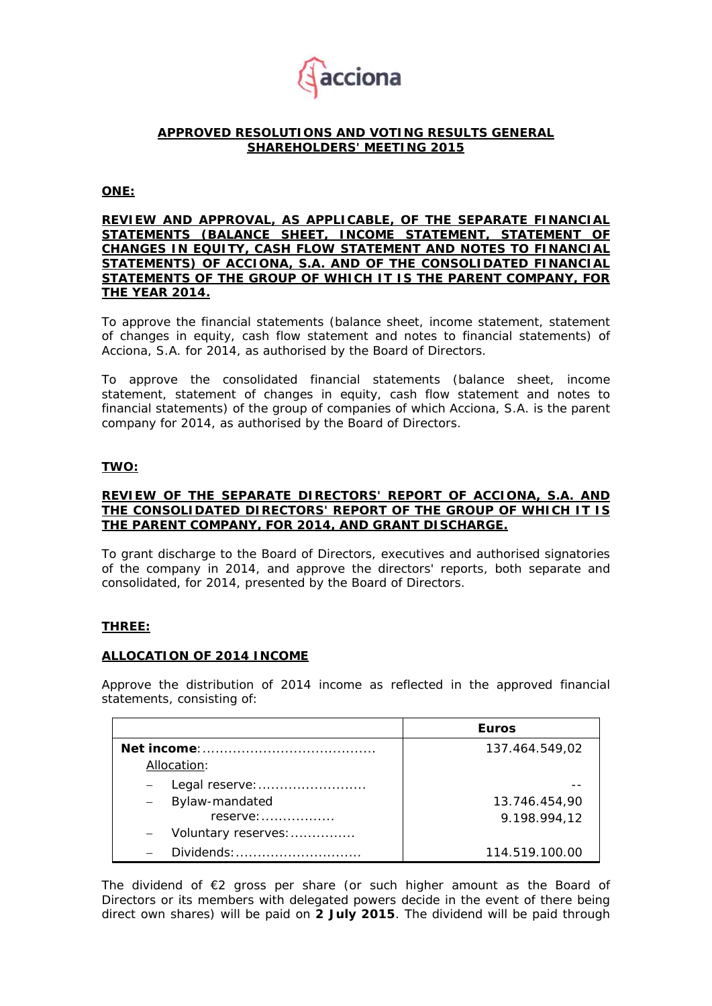

#### **APPROVED RESOLUTIONS AND VOTING RESULTS GENERAL SHAREHOLDERS' MEETING 2015**

#### **ONE:**

#### **REVIEW AND APPROVAL, AS APPLICABLE, OF THE SEPARATE FINANCIAL STATEMENTS (BALANCE SHEET, INCOME STATEMENT, STATEMENT OF CHANGES IN EQUITY, CASH FLOW STATEMENT AND NOTES TO FINANCIAL STATEMENTS) OF ACCIONA, S.A. AND OF THE CONSOLIDATED FINANCIAL STATEMENTS OF THE GROUP OF WHICH IT IS THE PARENT COMPANY, FOR THE YEAR 2014.**

To approve the financial statements (balance sheet, income statement, statement of changes in equity, cash flow statement and notes to financial statements) of Acciona, S.A. for 2014, as authorised by the Board of Directors.

To approve the consolidated financial statements (balance sheet, income statement, statement of changes in equity, cash flow statement and notes to financial statements) of the group of companies of which Acciona, S.A. is the parent company for 2014, as authorised by the Board of Directors.

## **TWO:**

#### **REVIEW OF THE SEPARATE DIRECTORS' REPORT OF ACCIONA, S.A. AND THE CONSOLIDATED DIRECTORS' REPORT OF THE GROUP OF WHICH IT IS THE PARENT COMPANY, FOR 2014, AND GRANT DISCHARGE.**

To grant discharge to the Board of Directors, executives and authorised signatories of the company in 2014, and approve the directors' reports, both separate and consolidated, for 2014, presented by the Board of Directors.

#### **THREE:**

#### **ALLOCATION OF 2014 INCOME**

Approve the distribution of 2014 income as reflected in the approved financial statements, consisting of:

|                                            | <b>Euros</b>   |  |  |
|--------------------------------------------|----------------|--|--|
|                                            | 137.464.549,02 |  |  |
| Allocation:                                |                |  |  |
| Legal reserve:                             |                |  |  |
| Bylaw-mandated<br>$\overline{\phantom{m}}$ | 13.746.454,90  |  |  |
| $reserve: \ldots \ldots \ldots \ldots$     | 9.198.994,12   |  |  |
| Voluntary reserves:                        |                |  |  |
| Dividends:                                 | 114.519.100.00 |  |  |

The dividend of  $E2$  gross per share (or such higher amount as the Board of Directors or its members with delegated powers decide in the event of there being direct own shares) will be paid on **2 July 2015**. The dividend will be paid through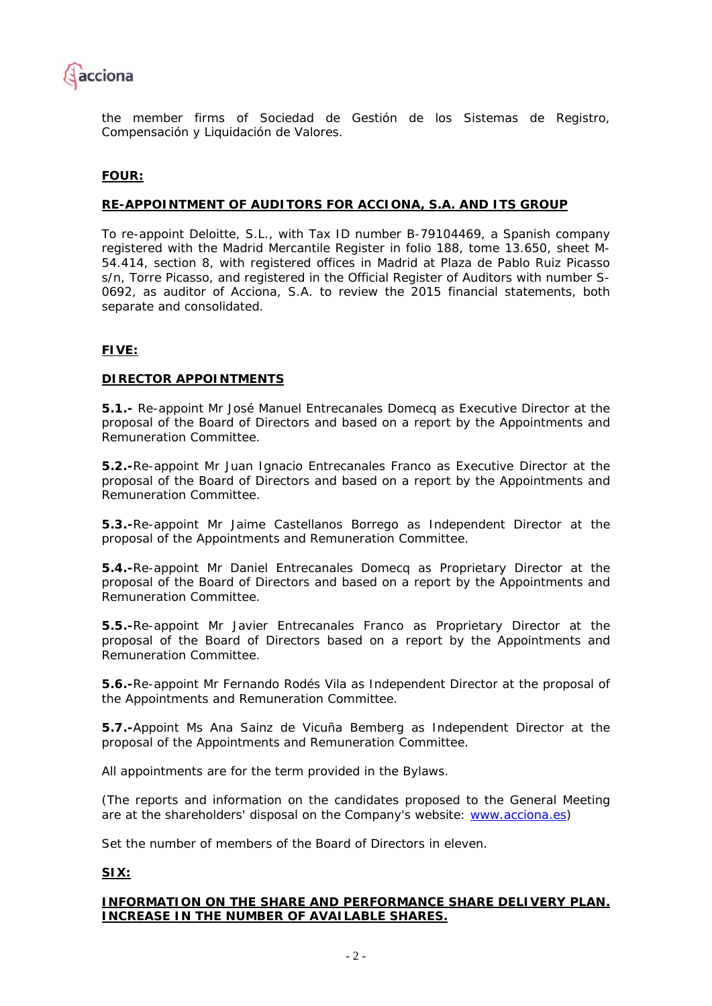

the member firms of Sociedad de Gestión de los Sistemas de Registro, Compensación y Liquidación de Valores.

## **FOUR:**

#### **RE-APPOINTMENT OF AUDITORS FOR ACCIONA, S.A. AND ITS GROUP**

To re-appoint Deloitte, S.L., with Tax ID number B-79104469, a Spanish company registered with the Madrid Mercantile Register in folio 188, tome 13.650, sheet M-54.414, section 8, with registered offices in Madrid at Plaza de Pablo Ruiz Picasso s/n, Torre Picasso, and registered in the Official Register of Auditors with number S-0692, as auditor of Acciona, S.A. to review the 2015 financial statements, both separate and consolidated.

## **FIVE:**

#### **DIRECTOR APPOINTMENTS**

**5.1.-** Re-appoint Mr José Manuel Entrecanales Domecq as Executive Director at the proposal of the Board of Directors and based on a report by the Appointments and Remuneration Committee.

**5.2.-**Re-appoint Mr Juan Ignacio Entrecanales Franco as Executive Director at the proposal of the Board of Directors and based on a report by the Appointments and Remuneration Committee.

**5.3.-**Re-appoint Mr Jaime Castellanos Borrego as Independent Director at the proposal of the Appointments and Remuneration Committee.

**5.4.-**Re-appoint Mr Daniel Entrecanales Domecq as Proprietary Director at the proposal of the Board of Directors and based on a report by the Appointments and Remuneration Committee.

**5.5.-**Re-appoint Mr Javier Entrecanales Franco as Proprietary Director at the proposal of the Board of Directors based on a report by the Appointments and Remuneration Committee.

**5.6.-**Re-appoint Mr Fernando Rodés Vila as Independent Director at the proposal of the Appointments and Remuneration Committee.

**5.7.-**Appoint Ms Ana Sainz de Vicuña Bemberg as Independent Director at the proposal of the Appointments and Remuneration Committee.

All appointments are for the term provided in the Bylaws.

(The reports and information on the candidates proposed to the General Meeting are at the shareholders' disposal on the Company's website: www.acciona.es)

Set the number of members of the Board of Directors in eleven.

#### **SIX:**

#### **INFORMATION ON THE SHARE AND PERFORMANCE SHARE DELIVERY PLAN. INCREASE IN THE NUMBER OF AVAILABLE SHARES.**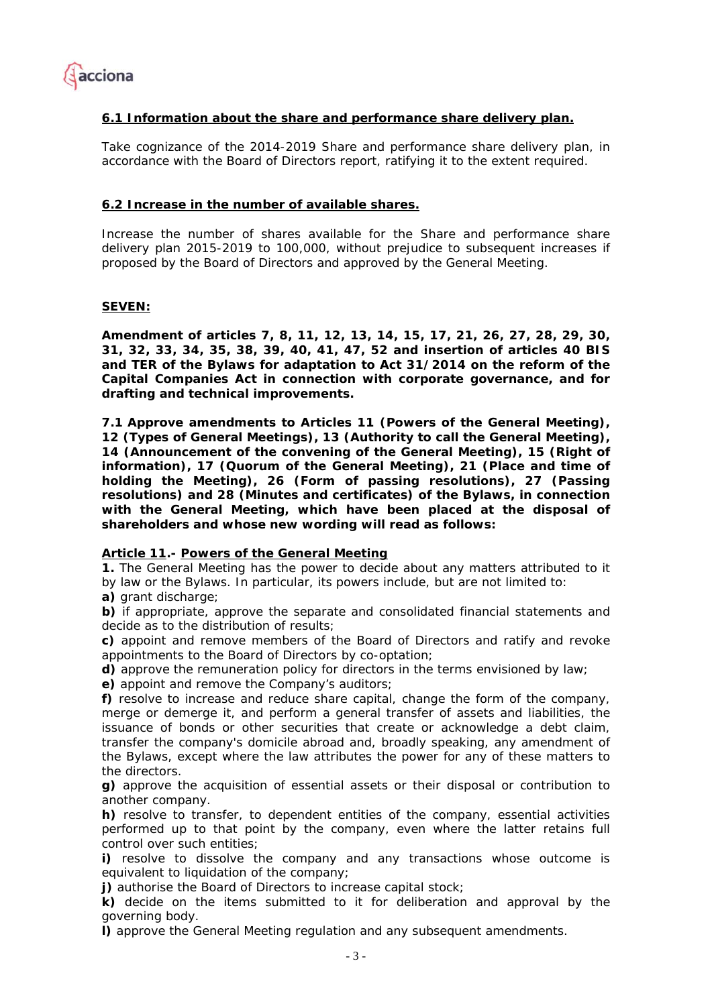

## **6.1 Information about the share and performance share delivery plan.**

Take cognizance of the 2014-2019 Share and performance share delivery plan, in accordance with the Board of Directors report, ratifying it to the extent required.

#### **6.2 Increase in the number of available shares.**

Increase the number of shares available for the Share and performance share delivery plan 2015-2019 to 100,000, without prejudice to subsequent increases if proposed by the Board of Directors and approved by the General Meeting.

#### **SEVEN:**

**Amendment of articles 7, 8, 11, 12, 13, 14, 15, 17, 21, 26, 27, 28, 29, 30, 31, 32, 33, 34, 35, 38, 39, 40, 41, 47, 52 and insertion of articles 40 BIS and TER of the Bylaws for adaptation to Act 31/2014 on the reform of the Capital Companies Act in connection with corporate governance, and for drafting and technical improvements.** 

**7.1 Approve amendments to Articles 11 (Powers of the General Meeting), 12 (Types of General Meetings), 13 (Authority to call the General Meeting), 14 (Announcement of the convening of the General Meeting), 15 (Right of information), 17 (Quorum of the General Meeting), 21 (Place and time of holding the Meeting), 26 (Form of passing resolutions), 27 (Passing resolutions) and 28 (Minutes and certificates) of the Bylaws, in connection with the General Meeting, which have been placed at the disposal of shareholders and whose new wording will read as follows:** 

#### *Article 11.- Powers of the General Meeting*

*1. The General Meeting has the power to decide about any matters attributed to it by law or the Bylaws. In particular, its powers include, but are not limited to:* 

*a) grant discharge;* 

*b) if appropriate, approve the separate and consolidated financial statements and decide as to the distribution of results;* 

*c) appoint and remove members of the Board of Directors and ratify and revoke appointments to the Board of Directors by co-optation;* 

*d) approve the remuneration policy for directors in the terms envisioned by law;* 

*e) appoint and remove the Company's auditors;* 

*f) resolve to increase and reduce share capital, change the form of the company, merge or demerge it, and perform a general transfer of assets and liabilities, the issuance of bonds or other securities that create or acknowledge a debt claim, transfer the company's domicile abroad and, broadly speaking, any amendment of the Bylaws, except where the law attributes the power for any of these matters to the directors.* 

*g) approve the acquisition of essential assets or their disposal or contribution to another company.* 

*h) resolve to transfer, to dependent entities of the company, essential activities performed up to that point by the company, even where the latter retains full control over such entities;* 

*i) resolve to dissolve the company and any transactions whose outcome is equivalent to liquidation of the company;* 

*j) authorise the Board of Directors to increase capital stock;* 

*k) decide on the items submitted to it for deliberation and approval by the governing body.* 

*l) approve the General Meeting regulation and any subsequent amendments.*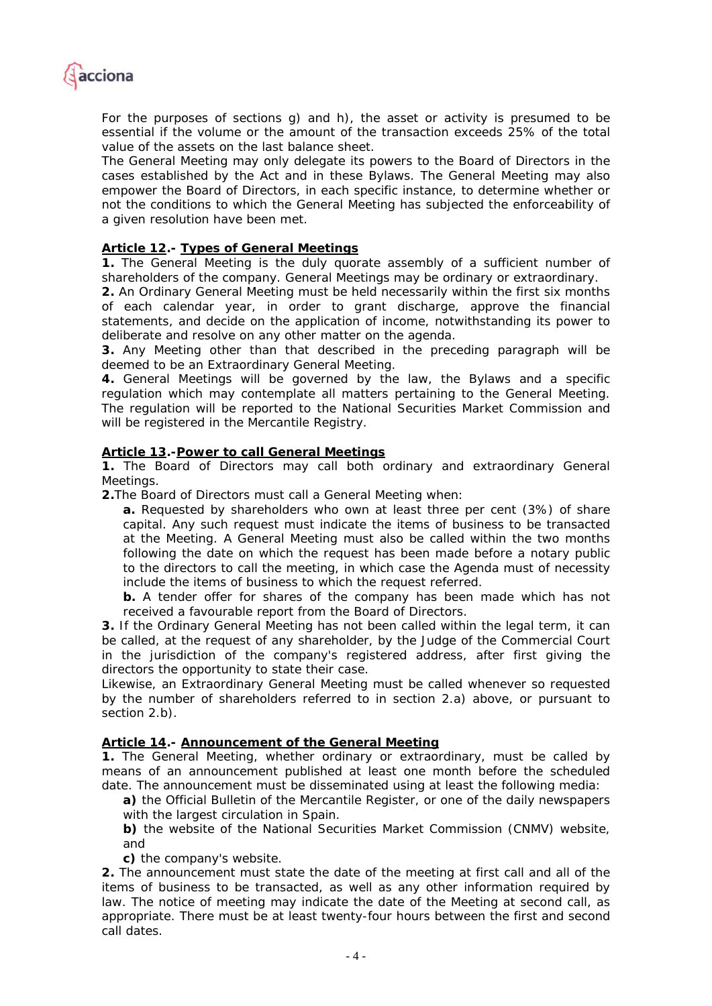

*For the purposes of sections g) and h), the asset or activity is presumed to be essential if the volume or the amount of the transaction exceeds 25% of the total value of the assets on the last balance sheet.* 

*The General Meeting may only delegate its powers to the Board of Directors in the cases established by the Act and in these Bylaws. The General Meeting may also empower the Board of Directors, in each specific instance, to determine whether or not the conditions to which the General Meeting has subjected the enforceability of a given resolution have been met.* 

## *Article 12.- Types of General Meetings*

*1. The General Meeting is the duly quorate assembly of a sufficient number of shareholders of the company. General Meetings may be ordinary or extraordinary.* 

*2. An Ordinary General Meeting must be held necessarily within the first six months of each calendar year, in order to grant discharge, approve the financial statements, and decide on the application of income, notwithstanding its power to deliberate and resolve on any other matter on the agenda.* 

*3. Any Meeting other than that described in the preceding paragraph will be deemed to be an Extraordinary General Meeting.* 

*4. General Meetings will be governed by the law, the Bylaws and a specific regulation which may contemplate all matters pertaining to the General Meeting. The regulation will be reported to the National Securities Market Commission and will be registered in the Mercantile Registry.* 

#### *Article 13.-Power to call General Meetings*

*1. The Board of Directors may call both ordinary and extraordinary General Meetings.* 

*2.The Board of Directors must call a General Meeting when:* 

*a. Requested by shareholders who own at least three per cent (3%) of share capital. Any such request must indicate the items of business to be transacted at the Meeting. A General Meeting must also be called within the two months following the date on which the request has been made before a notary public to the directors to call the meeting, in which case the Agenda must of necessity include the items of business to which the request referred.* 

*b. A tender offer for shares of the company has been made which has not received a favourable report from the Board of Directors.* 

*3. If the Ordinary General Meeting has not been called within the legal term, it can be called, at the request of any shareholder, by the Judge of the Commercial Court*  in the jurisdiction of the company's registered address, after first giving the *directors the opportunity to state their case.* 

*Likewise, an Extraordinary General Meeting must be called whenever so requested by the number of shareholders referred to in section 2.a) above, or pursuant to section 2.b).* 

#### *Article 14.- Announcement of the General Meeting*

*1. The General Meeting, whether ordinary or extraordinary, must be called by means of an announcement published at least one month before the scheduled date. The announcement must be disseminated using at least the following media:* 

*a) the Official Bulletin of the Mercantile Register, or one of the daily newspapers with the largest circulation in Spain.* 

*b) the website of the National Securities Market Commission (CNMV) website, and* 

*c) the company's website.* 

*2. The announcement must state the date of the meeting at first call and all of the items of business to be transacted, as well as any other information required by law. The notice of meeting may indicate the date of the Meeting at second call, as appropriate. There must be at least twenty-four hours between the first and second call dates.*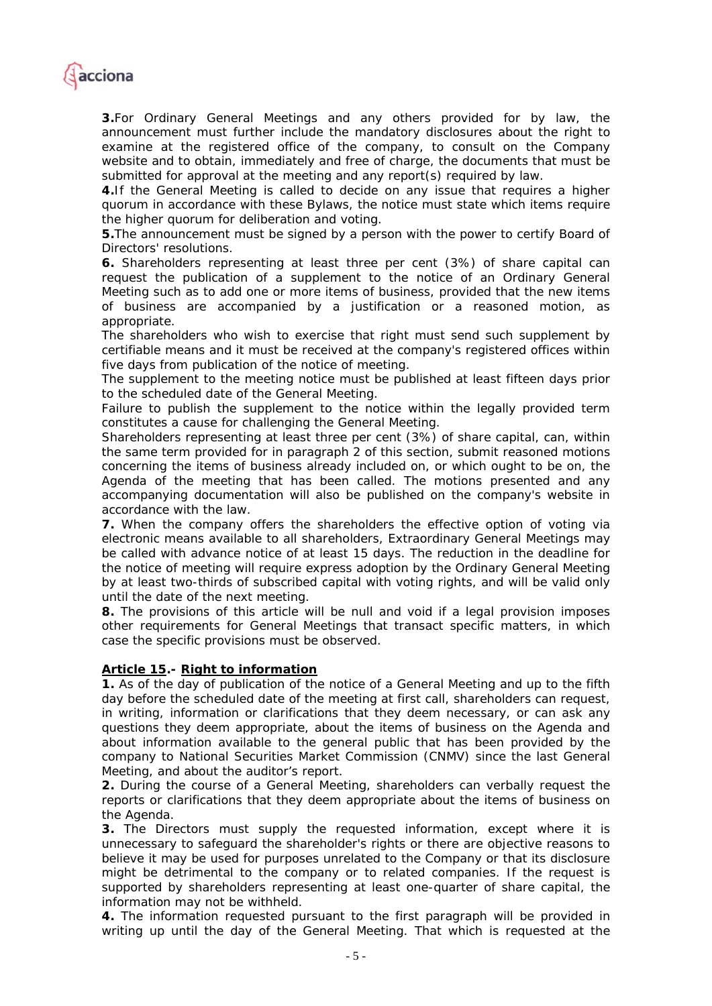

*3.For Ordinary General Meetings and any others provided for by law, the announcement must further include the mandatory disclosures about the right to examine at the registered office of the company, to consult on the Company website and to obtain, immediately and free of charge, the documents that must be submitted for approval at the meeting and any report(s) required by law.* 

*4.If the General Meeting is called to decide on any issue that requires a higher quorum in accordance with these Bylaws, the notice must state which items require the higher quorum for deliberation and voting.* 

*5.The announcement must be signed by a person with the power to certify Board of Directors' resolutions.* 

*6. Shareholders representing at least three per cent (3%) of share capital can request the publication of a supplement to the notice of an Ordinary General Meeting such as to add one or more items of business, provided that the new items of business are accompanied by a justification or a reasoned motion, as appropriate.* 

*The shareholders who wish to exercise that right must send such supplement by certifiable means and it must be received at the company's registered offices within five days from publication of the notice of meeting.* 

*The supplement to the meeting notice must be published at least fifteen days prior to the scheduled date of the General Meeting.* 

Failure to publish the supplement to the notice within the legally provided term *constitutes a cause for challenging the General Meeting.* 

*Shareholders representing at least three per cent (3%) of share capital, can, within the same term provided for in paragraph 2 of this section, submit reasoned motions concerning the items of business already included on, or which ought to be on, the Agenda of the meeting that has been called. The motions presented and any accompanying documentation will also be published on the company's website in accordance with the law.* 

*7. When the company offers the shareholders the effective option of voting via electronic means available to all shareholders, Extraordinary General Meetings may be called with advance notice of at least 15 days. The reduction in the deadline for the notice of meeting will require express adoption by the Ordinary General Meeting by at least two-thirds of subscribed capital with voting rights, and will be valid only until the date of the next meeting.* 

*8. The provisions of this article will be null and void if a legal provision imposes other requirements for General Meetings that transact specific matters, in which case the specific provisions must be observed.* 

#### *Article 15.- Right to information*

*1. As of the day of publication of the notice of a General Meeting and up to the fifth day before the scheduled date of the meeting at first call, shareholders can request, in writing, information or clarifications that they deem necessary, or can ask any questions they deem appropriate, about the items of business on the Agenda and*  about information available to the general public that has been provided by the *company to National Securities Market Commission (CNMV) since the last General Meeting, and about the auditor's report.* 

*2. During the course of a General Meeting, shareholders can verbally request the reports or clarifications that they deem appropriate about the items of business on the Agenda.* 

*3. The Directors must supply the requested information, except where it is unnecessary to safeguard the shareholder's rights or there are objective reasons to believe it may be used for purposes unrelated to the Company or that its disclosure might be detrimental to the company or to related companies. If the request is supported by shareholders representing at least one-quarter of share capital, the information may not be withheld.* 

*4. The information requested pursuant to the first paragraph will be provided in writing up until the day of the General Meeting. That which is requested at the*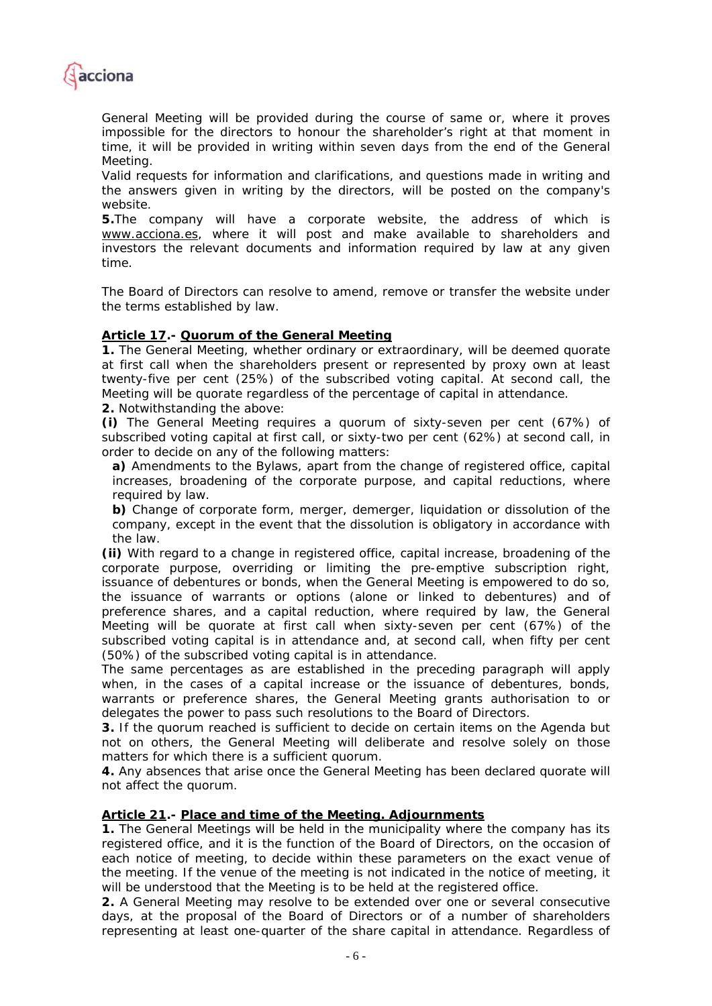

*General Meeting will be provided during the course of same or, where it proves impossible for the directors to honour the shareholder's right at that moment in time, it will be provided in writing within seven days from the end of the General Meeting.* 

*Valid requests for information and clarifications, and questions made in writing and the answers given in writing by the directors, will be posted on the company's website.* 

*5.The company will have a corporate website, the address of which is www.acciona.es, where it will post and make available to shareholders and investors the relevant documents and information required by law at any given time.* 

*The Board of Directors can resolve to amend, remove or transfer the website under the terms established by law.* 

## *Article 17.- Quorum of the General Meeting*

*1. The General Meeting, whether ordinary or extraordinary, will be deemed quorate at first call when the shareholders present or represented by proxy own at least twenty-five per cent (25%) of the subscribed voting capital. At second call, the Meeting will be quorate regardless of the percentage of capital in attendance.* 

*2. Notwithstanding the above:* 

*(i) The General Meeting requires a quorum of sixty-seven per cent (67%) of subscribed voting capital at first call, or sixty-two per cent (62%) at second call, in order to decide on any of the following matters:* 

*a) Amendments to the Bylaws, apart from the change of registered office, capital*  increases, broadening of the corporate purpose, and capital reductions, where *required by law.* 

*b) Change of corporate form, merger, demerger, liquidation or dissolution of the company, except in the event that the dissolution is obligatory in accordance with the law.* 

*(ii) With regard to a change in registered office, capital increase, broadening of the corporate purpose, overriding or limiting the pre-emptive subscription right, issuance of debentures or bonds, when the General Meeting is empowered to do so, the issuance of warrants or options (alone or linked to debentures) and of*  preference shares, and a capital reduction, where required by law, the General *Meeting will be quorate at first call when sixty-seven per cent (67%) of the subscribed voting capital is in attendance and, at second call, when fifty per cent (50%) of the subscribed voting capital is in attendance.* 

*The same percentages as are established in the preceding paragraph will apply when, in the cases of a capital increase or the issuance of debentures, bonds,*  warrants or preference shares, the General Meeting grants authorisation to or *delegates the power to pass such resolutions to the Board of Directors.* 

*3. If the quorum reached is sufficient to decide on certain items on the Agenda but not on others, the General Meeting will deliberate and resolve solely on those matters for which there is a sufficient quorum.* 

*4. Any absences that arise once the General Meeting has been declared quorate will not affect the quorum.* 

#### *Article 21.- Place and time of the Meeting. Adjournments*

*1. The General Meetings will be held in the municipality where the company has its*  registered office, and it is the function of the Board of Directors, on the occasion of each notice of meeting, to decide within these parameters on the exact venue of *the meeting. If the venue of the meeting is not indicated in the notice of meeting, it will be understood that the Meeting is to be held at the registered office.* 

*2. A General Meeting may resolve to be extended over one or several consecutive days, at the proposal of the Board of Directors or of a number of shareholders representing at least one-quarter of the share capital in attendance. Regardless of*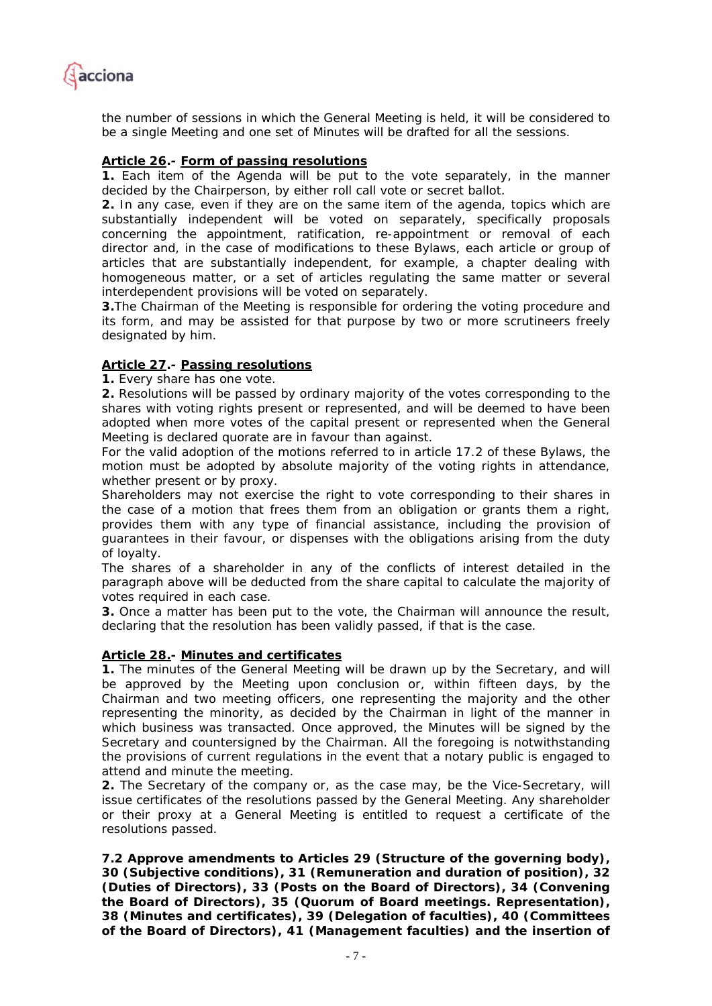

*the number of sessions in which the General Meeting is held, it will be considered to be a single Meeting and one set of Minutes will be drafted for all the sessions.* 

#### *Article 26.- Form of passing resolutions*

*1. Each item of the Agenda will be put to the vote separately, in the manner decided by the Chairperson, by either roll call vote or secret ballot.* 

*2. In any case, even if they are on the same item of the agenda, topics which are substantially independent will be voted on separately, specifically proposals concerning the appointment, ratification, re-appointment or removal of each director and, in the case of modifications to these Bylaws, each article or group of articles that are substantially independent, for example, a chapter dealing with homogeneous matter, or a set of articles regulating the same matter or several interdependent provisions will be voted on separately.* 

*3.The Chairman of the Meeting is responsible for ordering the voting procedure and its form, and may be assisted for that purpose by two or more scrutineers freely designated by him.* 

#### *Article 27.- Passing resolutions*

*1. Every share has one vote.* 

*2. Resolutions will be passed by ordinary majority of the votes corresponding to the shares with voting rights present or represented, and will be deemed to have been*  adopted when more votes of the capital present or represented when the General *Meeting is declared quorate are in favour than against.* 

*For the valid adoption of the motions referred to in article 17.2 of these Bylaws, the motion must be adopted by absolute majority of the voting rights in attendance, whether present or by proxy.* 

*Shareholders may not exercise the right to vote corresponding to their shares in the case of a motion that frees them from an obligation or grants them a right, provides them with any type of financial assistance, including the provision of guarantees in their favour, or dispenses with the obligations arising from the duty of loyalty.* 

*The shares of a shareholder in any of the conflicts of interest detailed in the*  paragraph above will be deducted from the share capital to calculate the majority of *votes required in each case.* 

*3. Once a matter has been put to the vote, the Chairman will announce the result, declaring that the resolution has been validly passed, if that is the case.* 

#### *Article 28.- Minutes and certificates*

**1.** The minutes of the General Meeting will be drawn up by the Secretary, and will *be approved by the Meeting upon conclusion or, within fifteen days, by the Chairman and two meeting officers, one representing the majority and the other representing the minority, as decided by the Chairman in light of the manner in which business was transacted. Once approved, the Minutes will be signed by the Secretary and countersigned by the Chairman. All the foregoing is notwithstanding the provisions of current regulations in the event that a notary public is engaged to attend and minute the meeting.* 

*2. The Secretary of the company or, as the case may, be the Vice-Secretary, will issue certificates of the resolutions passed by the General Meeting. Any shareholder or their proxy at a General Meeting is entitled to request a certificate of the resolutions passed.* 

**7.2 Approve amendments to Articles 29 (Structure of the governing body), 30 (Subjective conditions), 31 (Remuneration and duration of position), 32 (Duties of Directors), 33 (Posts on the Board of Directors), 34 (Convening the Board of Directors), 35 (Quorum of Board meetings. Representation), 38 (Minutes and certificates), 39 (Delegation of faculties), 40 (Committees of the Board of Directors), 41 (Management faculties) and the insertion of**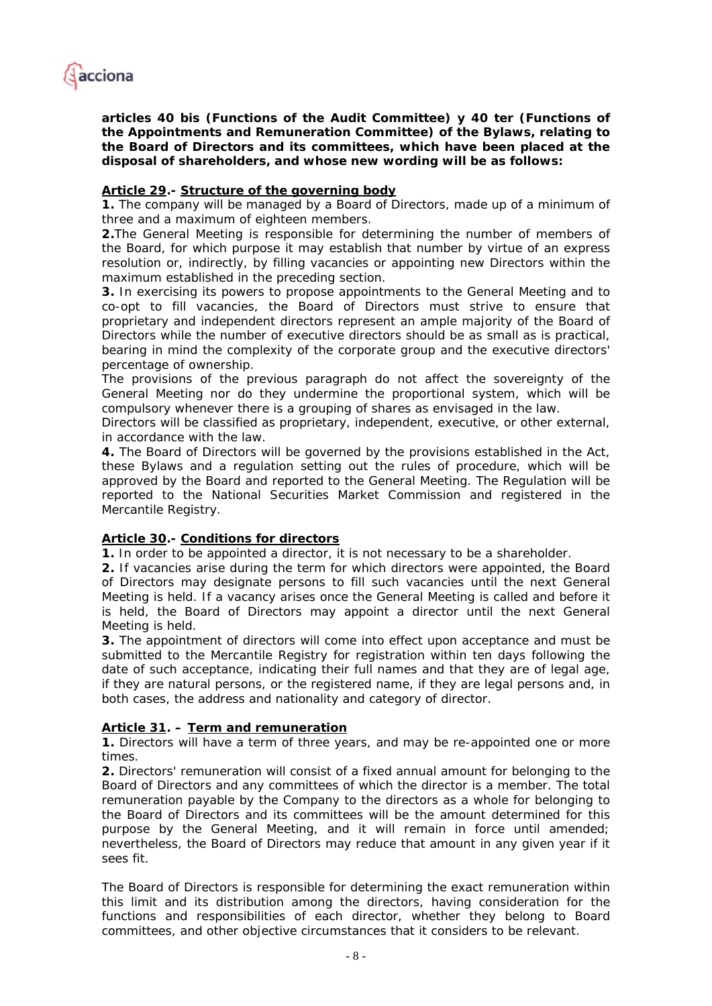

**articles 40 bis (Functions of the Audit Committee) y 40 ter (Functions of the Appointments and Remuneration Committee) of the Bylaws, relating to the Board of Directors and its committees, which have been placed at the disposal of shareholders, and whose new wording will be as follows:** 

## *Article 29.- Structure of the governing body*

*1. The company will be managed by a Board of Directors, made up of a minimum of three and a maximum of eighteen members.* 

*2.The General Meeting is responsible for determining the number of members of the Board, for which purpose it may establish that number by virtue of an express resolution or, indirectly, by filling vacancies or appointing new Directors within the maximum established in the preceding section.* 

*3. In exercising its powers to propose appointments to the General Meeting and to co-opt to fill vacancies, the Board of Directors must strive to ensure that proprietary and independent directors represent an ample majority of the Board of Directors while the number of executive directors should be as small as is practical, bearing in mind the complexity of the corporate group and the executive directors' percentage of ownership.* 

*The provisions of the previous paragraph do not affect the sovereignty of the General Meeting nor do they undermine the proportional system, which will be compulsory whenever there is a grouping of shares as envisaged in the law.* 

*Directors will be classified as proprietary, independent, executive, or other external, in accordance with the law.* 

*4. The Board of Directors will be governed by the provisions established in the Act, these Bylaws and a regulation setting out the rules of procedure, which will be approved by the Board and reported to the General Meeting. The Regulation will be*  reported to the National Securities Market Commission and registered in the *Mercantile Registry.* 

#### *Article 30.- Conditions for directors*

*1. In order to be appointed a director, it is not necessary to be a shareholder.* 

*2. If vacancies arise during the term for which directors were appointed, the Board of Directors may designate persons to fill such vacancies until the next General Meeting is held. If a vacancy arises once the General Meeting is called and before it is held, the Board of Directors may appoint a director until the next General Meeting is held.* 

*3. The appointment of directors will come into effect upon acceptance and must be submitted to the Mercantile Registry for registration within ten days following the date of such acceptance, indicating their full names and that they are of legal age, if they are natural persons, or the registered name, if they are legal persons and, in both cases, the address and nationality and category of director.* 

## *Article 31. – Term and remuneration*

*1. Directors will have a term of three years, and may be re-appointed one or more times.* 

*2. Directors' remuneration will consist of a fixed annual amount for belonging to the Board of Directors and any committees of which the director is a member. The total remuneration payable by the Company to the directors as a whole for belonging to the Board of Directors and its committees will be the amount determined for this purpose by the General Meeting, and it will remain in force until amended; nevertheless, the Board of Directors may reduce that amount in any given year if it sees fit.* 

*The Board of Directors is responsible for determining the exact remuneration within this limit and its distribution among the directors, having consideration for the functions and responsibilities of each director, whether they belong to Board committees, and other objective circumstances that it considers to be relevant.*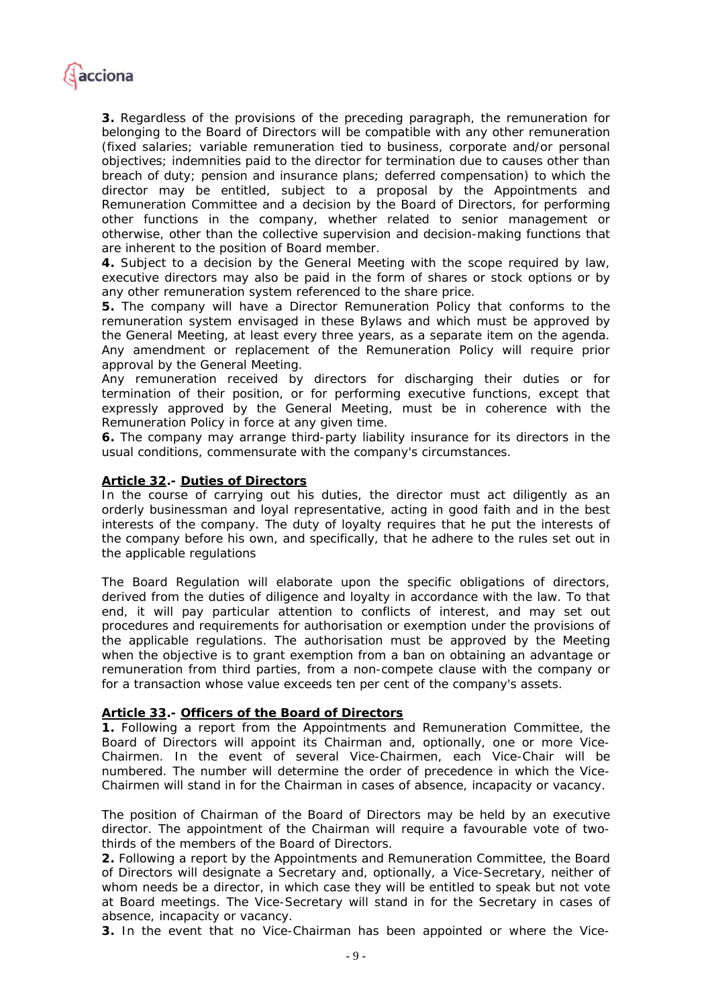

*3. Regardless of the provisions of the preceding paragraph, the remuneration for belonging to the Board of Directors will be compatible with any other remuneration (fixed salaries; variable remuneration tied to business, corporate and/or personal objectives; indemnities paid to the director for termination due to causes other than breach of duty; pension and insurance plans; deferred compensation) to which the director may be entitled, subject to a proposal by the Appointments and Remuneration Committee and a decision by the Board of Directors, for performing other functions in the company, whether related to senior management or otherwise, other than the collective supervision and decision-making functions that are inherent to the position of Board member.* 

*4. Subject to a decision by the General Meeting with the scope required by law, executive directors may also be paid in the form of shares or stock options or by any other remuneration system referenced to the share price.* 

*5. The company will have a Director Remuneration Policy that conforms to the remuneration system envisaged in these Bylaws and which must be approved by the General Meeting, at least every three years, as a separate item on the agenda. Any amendment or replacement of the Remuneration Policy will require prior approval by the General Meeting.* 

*Any remuneration received by directors for discharging their duties or for termination of their position, or for performing executive functions, except that expressly approved by the General Meeting, must be in coherence with the Remuneration Policy in force at any given time.* 

*6. The company may arrange third-party liability insurance for its directors in the usual conditions, commensurate with the company's circumstances.* 

#### *Article 32.- Duties of Directors*

*In the course of carrying out his duties, the director must act diligently as an orderly businessman and loyal representative, acting in good faith and in the best*  interests of the company. The duty of loyalty requires that he put the interests of *the company before his own, and specifically, that he adhere to the rules set out in the applicable regulations* 

*The Board Regulation will elaborate upon the specific obligations of directors,*  derived from the duties of diligence and loyalty in accordance with the law. To that end, it will pay particular attention to conflicts of interest, and may set out *procedures and requirements for authorisation or exemption under the provisions of the applicable regulations. The authorisation must be approved by the Meeting when the objective is to grant exemption from a ban on obtaining an advantage or remuneration from third parties, from a non-compete clause with the company or for a transaction whose value exceeds ten per cent of the company's assets.* 

#### *Article 33.- Officers of the Board of Directors*

*1. Following a report from the Appointments and Remuneration Committee, the Board of Directors will appoint its Chairman and, optionally, one or more Vice-Chairmen. In the event of several Vice-Chairmen, each Vice-Chair will be numbered. The number will determine the order of precedence in which the Vice-Chairmen will stand in for the Chairman in cases of absence, incapacity or vacancy.* 

*The position of Chairman of the Board of Directors may be held by an executive director. The appointment of the Chairman will require a favourable vote of twothirds of the members of the Board of Directors.* 

*2. Following a report by the Appointments and Remuneration Committee, the Board of Directors will designate a Secretary and, optionally, a Vice-Secretary, neither of whom needs be a director, in which case they will be entitled to speak but not vote at Board meetings. The Vice-Secretary will stand in for the Secretary in cases of absence, incapacity or vacancy.* 

*3. In the event that no Vice-Chairman has been appointed or where the Vice-*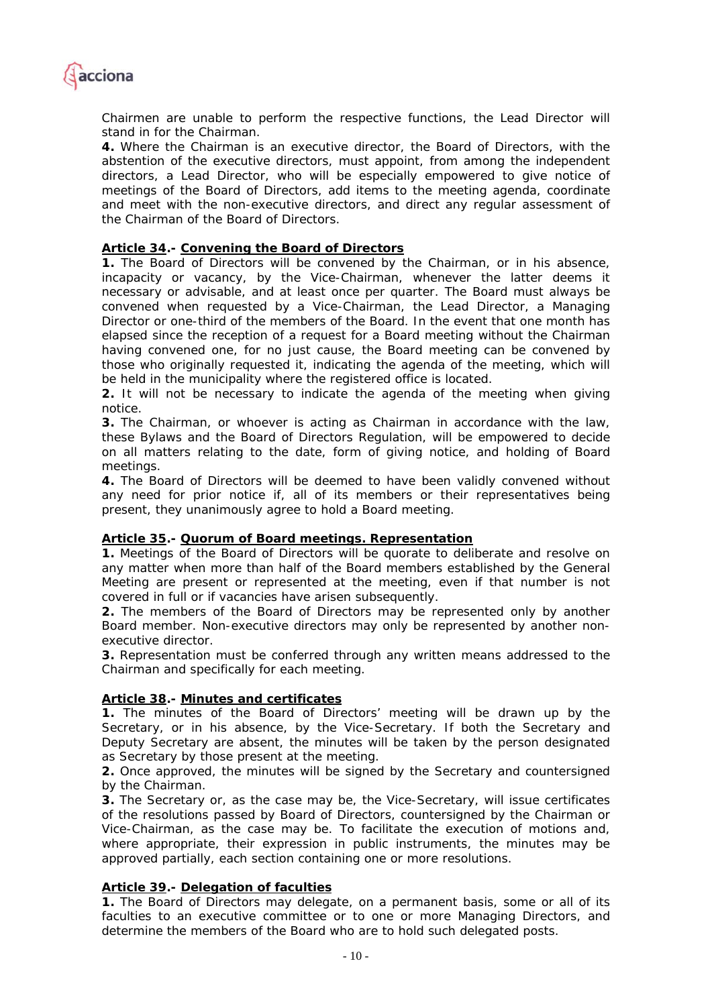

*Chairmen are unable to perform the respective functions, the Lead Director will stand in for the Chairman.* 

*4. Where the Chairman is an executive director, the Board of Directors, with the abstention of the executive directors, must appoint, from among the independent directors, a Lead Director, who will be especially empowered to give notice of meetings of the Board of Directors, add items to the meeting agenda, coordinate and meet with the non-executive directors, and direct any regular assessment of the Chairman of the Board of Directors.* 

#### *Article 34.- Convening the Board of Directors*

*1. The Board of Directors will be convened by the Chairman, or in his absence, incapacity or vacancy, by the Vice-Chairman, whenever the latter deems it necessary or advisable, and at least once per quarter. The Board must always be convened when requested by a Vice-Chairman, the Lead Director, a Managing Director or one-third of the members of the Board. In the event that one month has elapsed since the reception of a request for a Board meeting without the Chairman having convened one, for no just cause, the Board meeting can be convened by those who originally requested it, indicating the agenda of the meeting, which will be held in the municipality where the registered office is located.* 

**2.** It will not be necessary to indicate the agenda of the meeting when giving *notice.* 

*3. The Chairman, or whoever is acting as Chairman in accordance with the law, these Bylaws and the Board of Directors Regulation, will be empowered to decide on all matters relating to the date, form of giving notice, and holding of Board meetings.* 

*4. The Board of Directors will be deemed to have been validly convened without*  any need for prior notice if, all of its members or their representatives being *present, they unanimously agree to hold a Board meeting.* 

#### *Article 35.- Quorum of Board meetings. Representation*

*1. Meetings of the Board of Directors will be quorate to deliberate and resolve on*  any matter when more than half of the Board members established by the General *Meeting are present or represented at the meeting, even if that number is not covered in full or if vacancies have arisen subsequently.* 

*2. The members of the Board of Directors may be represented only by another Board member. Non-executive directors may only be represented by another nonexecutive director.* 

*3. Representation must be conferred through any written means addressed to the Chairman and specifically for each meeting.* 

#### *Article 38.- Minutes and certificates*

*1. The minutes of the Board of Directors' meeting will be drawn up by the Secretary, or in his absence, by the Vice-Secretary. If both the Secretary and Deputy Secretary are absent, the minutes will be taken by the person designated as Secretary by those present at the meeting.* 

*2. Once approved, the minutes will be signed by the Secretary and countersigned by the Chairman.* 

*3. The Secretary or, as the case may be, the Vice-Secretary, will issue certificates of the resolutions passed by Board of Directors, countersigned by the Chairman or Vice-Chairman, as the case may be. To facilitate the execution of motions and, where appropriate, their expression in public instruments, the minutes may be approved partially, each section containing one or more resolutions.* 

#### *Article 39.- Delegation of faculties*

*1. The Board of Directors may delegate, on a permanent basis, some or all of its*  faculties to an executive committee or to one or more Managing Directors, and *determine the members of the Board who are to hold such delegated posts.*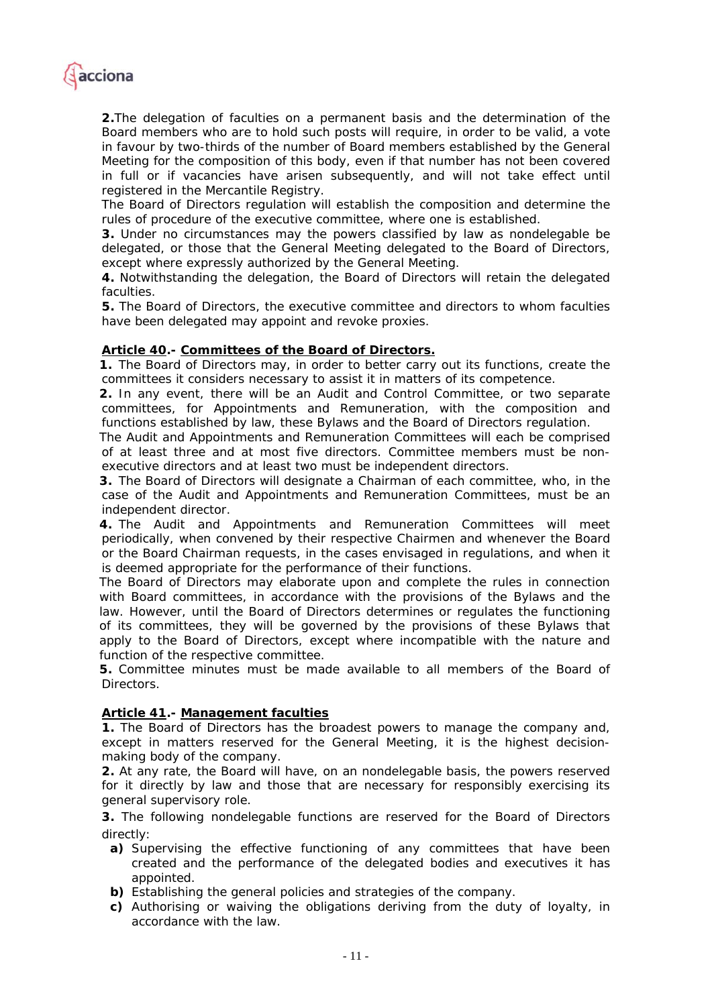

*2.The delegation of faculties on a permanent basis and the determination of the Board members who are to hold such posts will require, in order to be valid, a vote in favour by two-thirds of the number of Board members established by the General Meeting for the composition of this body, even if that number has not been covered*  in full or if vacancies have arisen subsequently, and will not take effect until *registered in the Mercantile Registry.* 

*The Board of Directors regulation will establish the composition and determine the rules of procedure of the executive committee, where one is established.* 

*3. Under no circumstances may the powers classified by law as nondelegable be delegated, or those that the General Meeting delegated to the Board of Directors, except where expressly authorized by the General Meeting.* 

*4. Notwithstanding the delegation, the Board of Directors will retain the delegated faculties.* 

*5. The Board of Directors, the executive committee and directors to whom faculties have been delegated may appoint and revoke proxies.* 

#### *Article 40.- Committees of the Board of Directors.*

*1. The Board of Directors may, in order to better carry out its functions, create the committees it considers necessary to assist it in matters of its competence.* 

*2. In any event, there will be an Audit and Control Committee, or two separate committees, for Appointments and Remuneration, with the composition and functions established by law, these Bylaws and the Board of Directors regulation.* 

*The Audit and Appointments and Remuneration Committees will each be comprised of at least three and at most five directors. Committee members must be nonexecutive directors and at least two must be independent directors.* 

*3. The Board of Directors will designate a Chairman of each committee, who, in the case of the Audit and Appointments and Remuneration Committees, must be an independent director.* 

*4. The Audit and Appointments and Remuneration Committees will meet periodically, when convened by their respective Chairmen and whenever the Board or the Board Chairman requests, in the cases envisaged in regulations, and when it is deemed appropriate for the performance of their functions.* 

*The Board of Directors may elaborate upon and complete the rules in connection with Board committees, in accordance with the provisions of the Bylaws and the*  law. However, until the Board of Directors determines or regulates the functioning *of its committees, they will be governed by the provisions of these Bylaws that*  apply to the Board of Directors, except where incompatible with the nature and *function of the respective committee.* 

*5. Committee minutes must be made available to all members of the Board of Directors.* 

#### *Article 41.- Management faculties*

*1. The Board of Directors has the broadest powers to manage the company and, except in matters reserved for the General Meeting, it is the highest decisionmaking body of the company.* 

*2. At any rate, the Board will have, on an nondelegable basis, the powers reserved for it directly by law and those that are necessary for responsibly exercising its general supervisory role.* 

*3. The following nondelegable functions are reserved for the Board of Directors directly:* 

- *a) Supervising the effective functioning of any committees that have been created and the performance of the delegated bodies and executives it has appointed.*
- *b) Establishing the general policies and strategies of the company.*
- *c) Authorising or waiving the obligations deriving from the duty of loyalty, in accordance with the law.*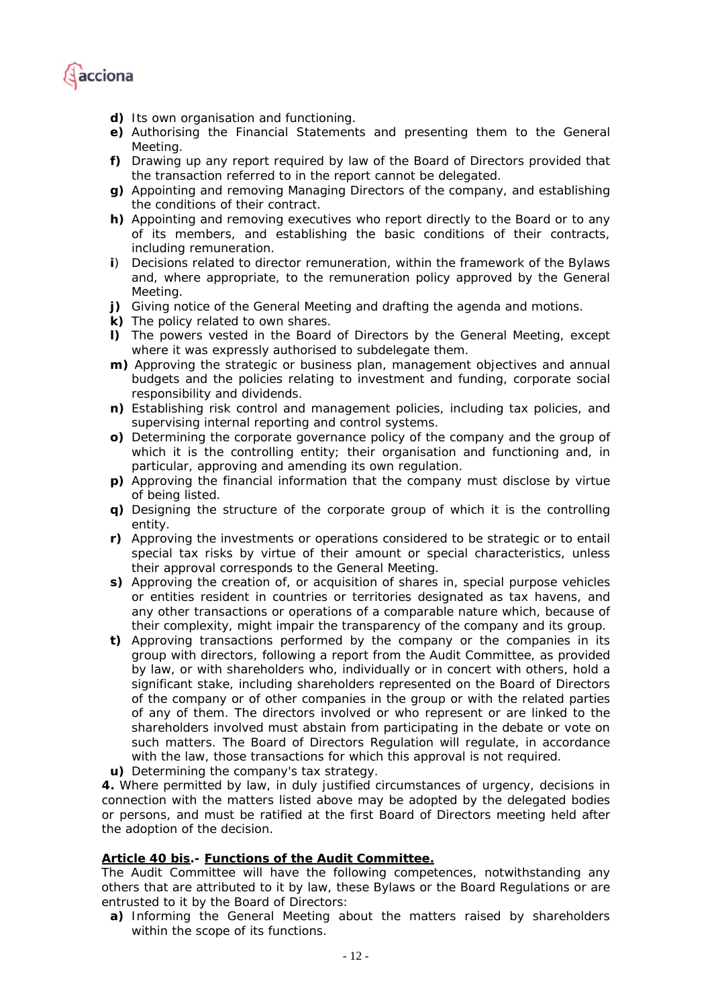

- *d) Its own organisation and functioning.*
- *e) Authorising the Financial Statements and presenting them to the General Meeting.*
- *f) Drawing up any report required by law of the Board of Directors provided that the transaction referred to in the report cannot be delegated.*
- *g) Appointing and removing Managing Directors of the company, and establishing the conditions of their contract.*
- *h) Appointing and removing executives who report directly to the Board or to any of its members, and establishing the basic conditions of their contracts, including remuneration.*
- *i) Decisions related to director remuneration, within the framework of the Bylaws*  and, where appropriate, to the remuneration policy approved by the General *Meeting.*
- *j) Giving notice of the General Meeting and drafting the agenda and motions.*
- *k) The policy related to own shares.*
- *l) The powers vested in the Board of Directors by the General Meeting, except where it was expressly authorised to subdelegate them.*
- *m) Approving the strategic or business plan, management objectives and annual budgets and the policies relating to investment and funding, corporate social responsibility and dividends.*
- *n) Establishing risk control and management policies, including tax policies, and supervising internal reporting and control systems.*
- *o) Determining the corporate governance policy of the company and the group of which it is the controlling entity; their organisation and functioning and, in particular, approving and amending its own regulation.*
- *p) Approving the financial information that the company must disclose by virtue of being listed.*
- *q)* Designing the structure of the corporate group of which it is the controlling *entity.*
- *r) Approving the investments or operations considered to be strategic or to entail special tax risks by virtue of their amount or special characteristics, unless their approval corresponds to the General Meeting.*
- *s) Approving the creation of, or acquisition of shares in, special purpose vehicles or entities resident in countries or territories designated as tax havens, and any other transactions or operations of a comparable nature which, because of their complexity, might impair the transparency of the company and its group.*
- *t) Approving transactions performed by the company or the companies in its group with directors, following a report from the Audit Committee, as provided by law, or with shareholders who, individually or in concert with others, hold a significant stake, including shareholders represented on the Board of Directors of the company or of other companies in the group or with the related parties of any of them. The directors involved or who represent or are linked to the shareholders involved must abstain from participating in the debate or vote on such matters. The Board of Directors Regulation will regulate, in accordance with the law, those transactions for which this approval is not required.*
- *u) Determining the company's tax strategy.*

*4. Where permitted by law, in duly justified circumstances of urgency, decisions in connection with the matters listed above may be adopted by the delegated bodies or persons, and must be ratified at the first Board of Directors meeting held after the adoption of the decision.* 

#### *Article 40 bis.- Functions of the Audit Committee.*

*The Audit Committee will have the following competences, notwithstanding any others that are attributed to it by law, these Bylaws or the Board Regulations or are entrusted to it by the Board of Directors:* 

*a) Informing the General Meeting about the matters raised by shareholders within the scope of its functions.*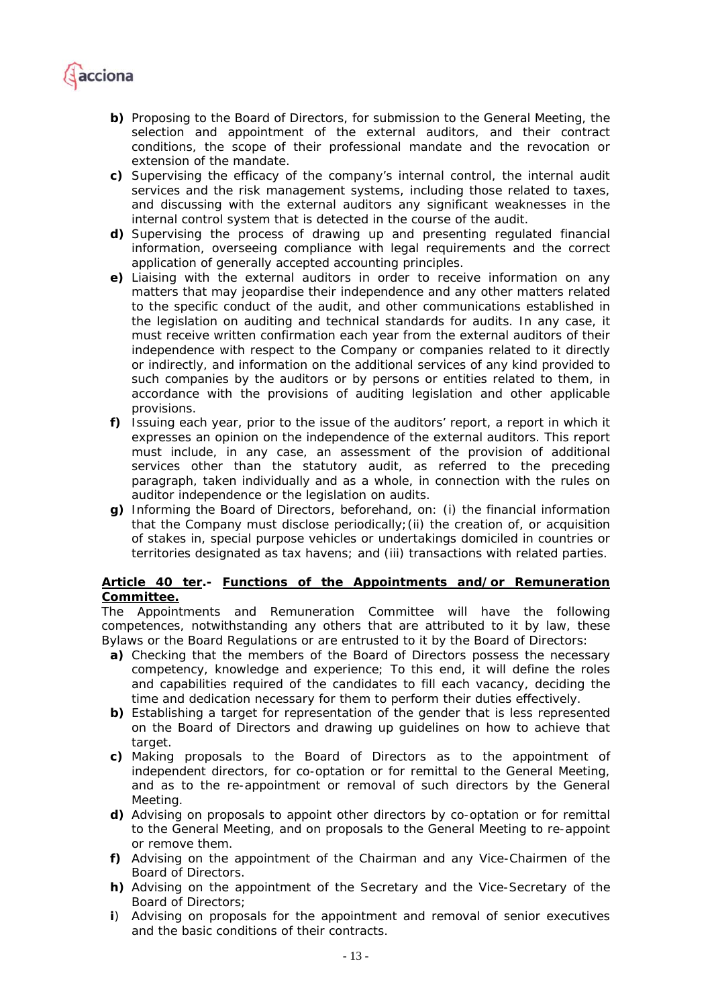

- *b) Proposing to the Board of Directors, for submission to the General Meeting, the selection and appointment of the external auditors, and their contract conditions, the scope of their professional mandate and the revocation or extension of the mandate.*
- *c) Supervising the efficacy of the company's internal control, the internal audit services and the risk management systems, including those related to taxes, and discussing with the external auditors any significant weaknesses in the internal control system that is detected in the course of the audit.*
- *d) Supervising the process of drawing up and presenting regulated financial information, overseeing compliance with legal requirements and the correct application of generally accepted accounting principles.*
- *e) Liaising with the external auditors in order to receive information on any matters that may jeopardise their independence and any other matters related to the specific conduct of the audit, and other communications established in the legislation on auditing and technical standards for audits. In any case, it must receive written confirmation each year from the external auditors of their independence with respect to the Company or companies related to it directly or indirectly, and information on the additional services of any kind provided to such companies by the auditors or by persons or entities related to them, in accordance with the provisions of auditing legislation and other applicable provisions.*
- *f) Issuing each year, prior to the issue of the auditors' report, a report in which it expresses an opinion on the independence of the external auditors. This report must include, in any case, an assessment of the provision of additional services other than the statutory audit, as referred to the preceding paragraph, taken individually and as a whole, in connection with the rules on auditor independence or the legislation on audits.*
- *g) Informing the Board of Directors, beforehand, on: (i) the financial information that the Company must disclose periodically;(ii) the creation of, or acquisition of stakes in, special purpose vehicles or undertakings domiciled in countries or territories designated as tax havens; and (iii) transactions with related parties.*

#### *Article 40 ter.- Functions of the Appointments and/or Remuneration Committee.*

*The Appointments and Remuneration Committee will have the following competences, notwithstanding any others that are attributed to it by law, these Bylaws or the Board Regulations or are entrusted to it by the Board of Directors:* 

- *a) Checking that the members of the Board of Directors possess the necessary competency, knowledge and experience; To this end, it will define the roles and capabilities required of the candidates to fill each vacancy, deciding the time and dedication necessary for them to perform their duties effectively.*
- *b) Establishing a target for representation of the gender that is less represented on the Board of Directors and drawing up guidelines on how to achieve that target.*
- *c) Making proposals to the Board of Directors as to the appointment of independent directors, for co-optation or for remittal to the General Meeting, and as to the re-appointment or removal of such directors by the General Meeting.*
- *d) Advising on proposals to appoint other directors by co-optation or for remittal to the General Meeting, and on proposals to the General Meeting to re-appoint or remove them.*
- *f) Advising on the appointment of the Chairman and any Vice-Chairmen of the Board of Directors.*
- *h) Advising on the appointment of the Secretary and the Vice-Secretary of the Board of Directors;*
- *i) Advising on proposals for the appointment and removal of senior executives and the basic conditions of their contracts.*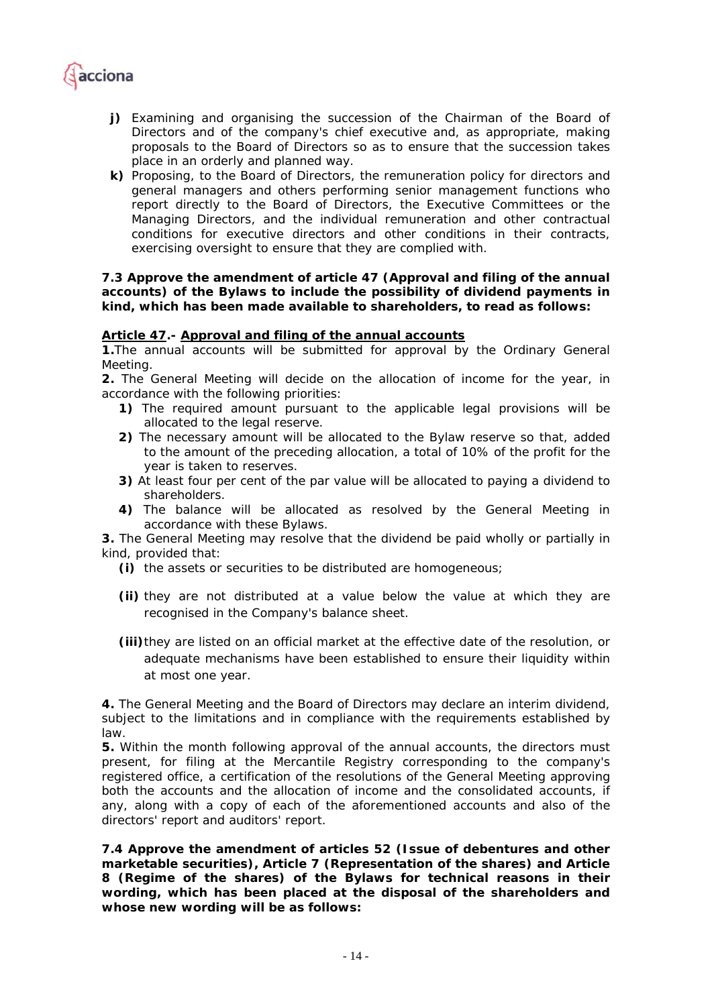

- *j*) Examining and organising the succession of the Chairman of the Board of *Directors and of the company's chief executive and, as appropriate, making proposals to the Board of Directors so as to ensure that the succession takes place in an orderly and planned way.*
- *k) Proposing, to the Board of Directors, the remuneration policy for directors and general managers and others performing senior management functions who report directly to the Board of Directors, the Executive Committees or the Managing Directors, and the individual remuneration and other contractual conditions for executive directors and other conditions in their contracts, exercising oversight to ensure that they are complied with.*

#### **7.3 Approve the amendment of article 47 (Approval and filing of the annual accounts) of the Bylaws to include the possibility of dividend payments in kind, which has been made available to shareholders, to read as follows:**

#### *Article 47.- Approval and filing of the annual accounts*

*1.The annual accounts will be submitted for approval by the Ordinary General Meeting.* 

*2. The General Meeting will decide on the allocation of income for the year, in accordance with the following priorities:* 

- *1) The required amount pursuant to the applicable legal provisions will be allocated to the legal reserve.*
- *2) The necessary amount will be allocated to the Bylaw reserve so that, added to the amount of the preceding allocation, a total of 10% of the profit for the year is taken to reserves.*
- *3) At least four per cent of the par value will be allocated to paying a dividend to shareholders.*
- *4) The balance will be allocated as resolved by the General Meeting in accordance with these Bylaws.*

*3. The General Meeting may resolve that the dividend be paid wholly or partially in kind, provided that:* 

- *(i) the assets or securities to be distributed are homogeneous;*
- *(ii) they are not distributed at a value below the value at which they are recognised in the Company's balance sheet.*
- *(iii)they are listed on an official market at the effective date of the resolution, or adequate mechanisms have been established to ensure their liquidity within at most one year.*

*4. The General Meeting and the Board of Directors may declare an interim dividend, subject to the limitations and in compliance with the requirements established by law.* 

*5. Within the month following approval of the annual accounts, the directors must present, for filing at the Mercantile Registry corresponding to the company's*  registered office, a certification of the resolutions of the General Meeting approving both the accounts and the allocation of income and the consolidated accounts, if *any, along with a copy of each of the aforementioned accounts and also of the directors' report and auditors' report.* 

**7.4 Approve the amendment of articles 52 (Issue of debentures and other marketable securities), Article 7 (Representation of the shares) and Article 8 (Regime of the shares) of the Bylaws for technical reasons in their wording, which has been placed at the disposal of the shareholders and whose new wording will be as follows:**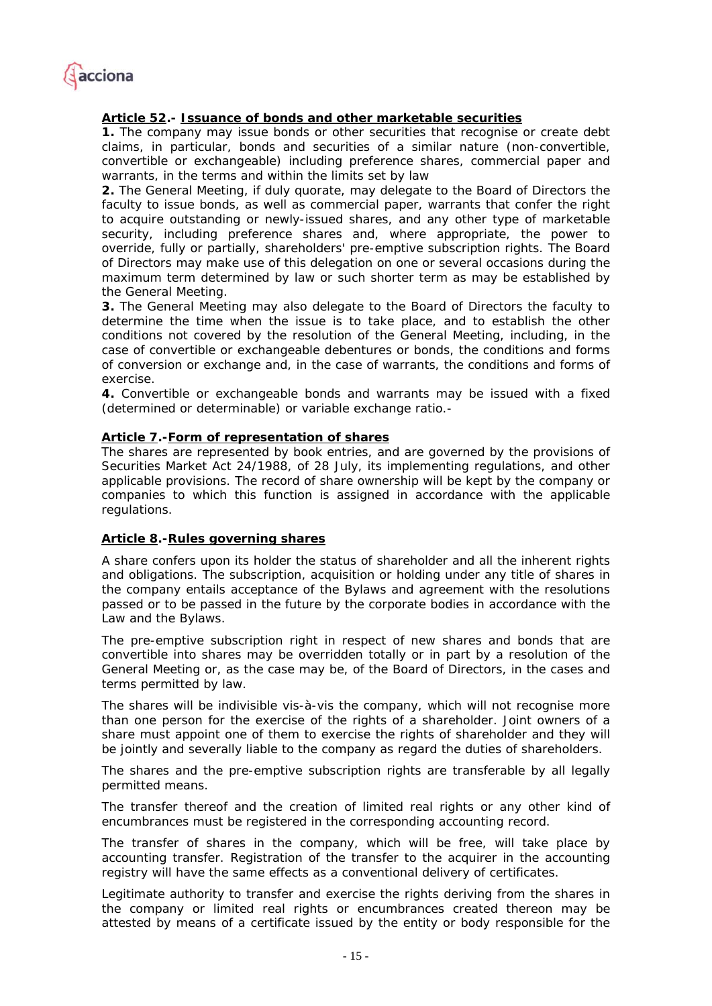

## *Article 52.- Issuance of bonds and other marketable securities*

*1. The company may issue bonds or other securities that recognise or create debt claims, in particular, bonds and securities of a similar nature (non-convertible, convertible or exchangeable) including preference shares, commercial paper and warrants, in the terms and within the limits set by law* 

*2. The General Meeting, if duly quorate, may delegate to the Board of Directors the*  faculty to issue bonds, as well as commercial paper, warrants that confer the right *to acquire outstanding or newly-issued shares, and any other type of marketable security, including preference shares and, where appropriate, the power to override, fully or partially, shareholders' pre-emptive subscription rights. The Board of Directors may make use of this delegation on one or several occasions during the maximum term determined by law or such shorter term as may be established by the General Meeting.* 

*3. The General Meeting may also delegate to the Board of Directors the faculty to*  determine the time when the issue is to take place, and to establish the other *conditions not covered by the resolution of the General Meeting, including, in the case of convertible or exchangeable debentures or bonds, the conditions and forms of conversion or exchange and, in the case of warrants, the conditions and forms of exercise.* 

*4. Convertible or exchangeable bonds and warrants may be issued with a fixed (determined or determinable) or variable exchange ratio.-* 

#### *Article 7.-Form of representation of shares*

*The shares are represented by book entries, and are governed by the provisions of Securities Market Act 24/1988, of 28 July, its implementing regulations, and other applicable provisions. The record of share ownership will be kept by the company or companies to which this function is assigned in accordance with the applicable regulations.* 

#### *Article 8.-Rules governing shares*

*A share confers upon its holder the status of shareholder and all the inherent rights and obligations. The subscription, acquisition or holding under any title of shares in the company entails acceptance of the Bylaws and agreement with the resolutions passed or to be passed in the future by the corporate bodies in accordance with the Law and the Bylaws.* 

*The pre-emptive subscription right in respect of new shares and bonds that are convertible into shares may be overridden totally or in part by a resolution of the General Meeting or, as the case may be, of the Board of Directors, in the cases and terms permitted by law.* 

*The shares will be indivisible vis-à-vis the company, which will not recognise more than one person for the exercise of the rights of a shareholder. Joint owners of a share must appoint one of them to exercise the rights of shareholder and they will be jointly and severally liable to the company as regard the duties of shareholders.* 

*The shares and the pre-emptive subscription rights are transferable by all legally permitted means.* 

The transfer thereof and the creation of limited real rights or any other kind of *encumbrances must be registered in the corresponding accounting record.* 

*The transfer of shares in the company, which will be free, will take place by accounting transfer. Registration of the transfer to the acquirer in the accounting registry will have the same effects as a conventional delivery of certificates.* 

Legitimate authority to transfer and exercise the rights deriving from the shares in *the company or limited real rights or encumbrances created thereon may be attested by means of a certificate issued by the entity or body responsible for the*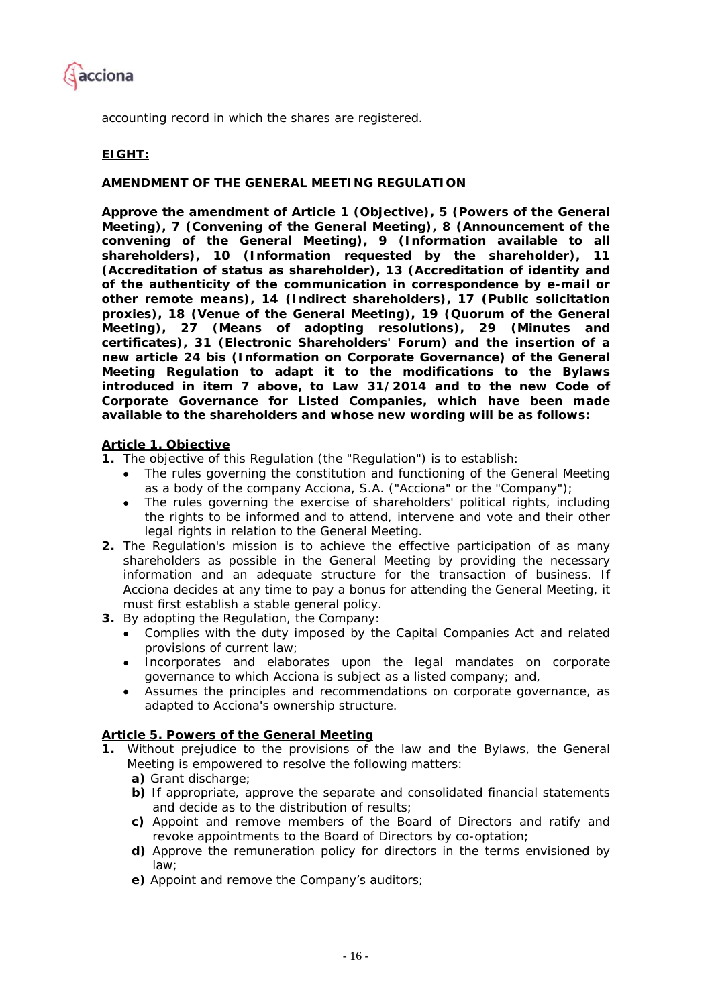

*accounting record in which the shares are registered.* 

## **EIGHT:**

#### **AMENDMENT OF THE GENERAL MEETING REGULATION**

**Approve the amendment of Article 1 (Objective), 5 (Powers of the General Meeting), 7 (Convening of the General Meeting), 8 (Announcement of the convening of the General Meeting), 9 (Information available to all shareholders), 10 (Information requested by the shareholder), 11 (Accreditation of status as shareholder), 13 (Accreditation of identity and of the authenticity of the communication in correspondence by e-mail or other remote means), 14 (Indirect shareholders), 17 (Public solicitation proxies), 18 (Venue of the General Meeting), 19 (Quorum of the General Meeting), 27 (Means of adopting resolutions), 29 (Minutes and certificates), 31 (Electronic Shareholders' Forum) and the insertion of a new article 24 bis (Information on Corporate Governance) of the General Meeting Regulation to adapt it to the modifications to the Bylaws introduced in item 7 above, to Law 31/2014 and to the new Code of Corporate Governance for Listed Companies, which have been made available to the shareholders and whose new wording will be as follows:** 

#### *Article 1. Objective*

*1. The objective of this Regulation (the "Regulation") is to establish:* 

- *The rules governing the constitution and functioning of the General Meeting as a body of the company Acciona, S.A. ("Acciona" or the "Company");*
- *The rules governing the exercise of shareholders' political rights, including the rights to be informed and to attend, intervene and vote and their other legal rights in relation to the General Meeting.*
- *2. The Regulation's mission is to achieve the effective participation of as many shareholders as possible in the General Meeting by providing the necessary information and an adequate structure for the transaction of business. If Acciona decides at any time to pay a bonus for attending the General Meeting, it must first establish a stable general policy.*
- *3. By adopting the Regulation, the Company:* 
	- *Complies with the duty imposed by the Capital Companies Act and related provisions of current law;*
	- *Incorporates and elaborates upon the legal mandates on corporate governance to which Acciona is subject as a listed company; and,*
	- *Assumes the principles and recommendations on corporate governance, as adapted to Acciona's ownership structure.*

#### *Article 5. Powers of the General Meeting*

- **1.** *Without prejudice to the provisions of the law and the Bylaws, the General Meeting is empowered to resolve the following matters:* 
	- *a) Grant discharge;*
	- *b) If appropriate, approve the separate and consolidated financial statements and decide as to the distribution of results;*
	- *c) Appoint and remove members of the Board of Directors and ratify and revoke appointments to the Board of Directors by co-optation;*
	- *d) Approve the remuneration policy for directors in the terms envisioned by law;*
	- *e) Appoint and remove the Company's auditors;*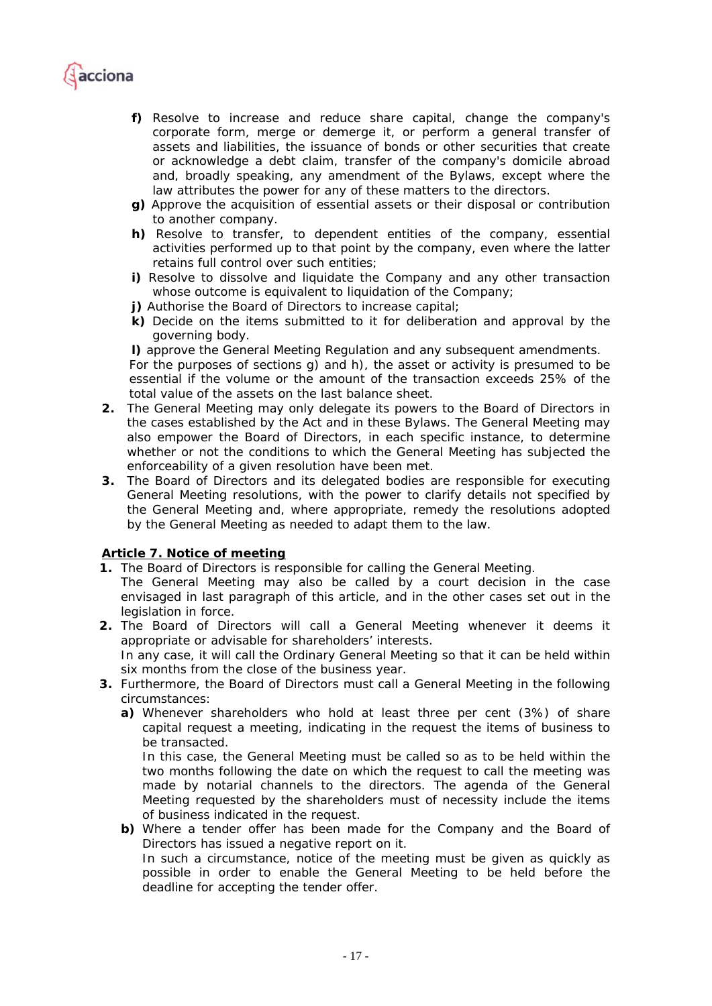

- *f) Resolve to increase and reduce share capital, change the company's corporate form, merge or demerge it, or perform a general transfer of assets and liabilities, the issuance of bonds or other securities that create or acknowledge a debt claim, transfer of the company's domicile abroad and, broadly speaking, any amendment of the Bylaws, except where the law attributes the power for any of these matters to the directors.*
- *g) Approve the acquisition of essential assets or their disposal or contribution to another company.*
- *h) Resolve to transfer, to dependent entities of the company, essential activities performed up to that point by the company, even where the latter retains full control over such entities;*
- *i*) Resolve to dissolve and liquidate the Company and any other transaction *whose outcome is equivalent to liquidation of the Company;*
- *j) Authorise the Board of Directors to increase capital;*
- *k) Decide on the items submitted to it for deliberation and approval by the governing body.*

*l) approve the General Meeting Regulation and any subsequent amendments. For the purposes of sections q) and h), the asset or activity is presumed to be essential if the volume or the amount of the transaction exceeds 25% of the total value of the assets on the last balance sheet.* 

- **2.** *The General Meeting may only delegate its powers to the Board of Directors in the cases established by the Act and in these Bylaws. The General Meeting may also empower the Board of Directors, in each specific instance, to determine whether or not the conditions to which the General Meeting has subjected the enforceability of a given resolution have been met.*
- **3.** *The Board of Directors and its delegated bodies are responsible for executing General Meeting resolutions, with the power to clarify details not specified by the General Meeting and, where appropriate, remedy the resolutions adopted by the General Meeting as needed to adapt them to the law.*

#### *Article 7. Notice of meeting*

- *1. The Board of Directors is responsible for calling the General Meeting.*
- *The General Meeting may also be called by a court decision in the case envisaged in last paragraph of this article, and in the other cases set out in the legislation in force.*
- **2.** The Board of Directors will call a General Meeting whenever it deems it *appropriate or advisable for shareholders' interests. In any case, it will call the Ordinary General Meeting so that it can be held within six months from the close of the business year.*
- *3. Furthermore, the Board of Directors must call a General Meeting in the following circumstances:* 
	- *a) Whenever shareholders who hold at least three per cent (3%) of share capital request a meeting, indicating in the request the items of business to be transacted.*

In this case, the General Meeting must be called so as to be held within the *two months following the date on which the request to call the meeting was made by notarial channels to the directors. The agenda of the General Meeting requested by the shareholders must of necessity include the items of business indicated in the request.* 

*b) Where a tender offer has been made for the Company and the Board of Directors has issued a negative report on it.* 

*In such a circumstance, notice of the meeting must be given as quickly as possible in order to enable the General Meeting to be held before the deadline for accepting the tender offer.*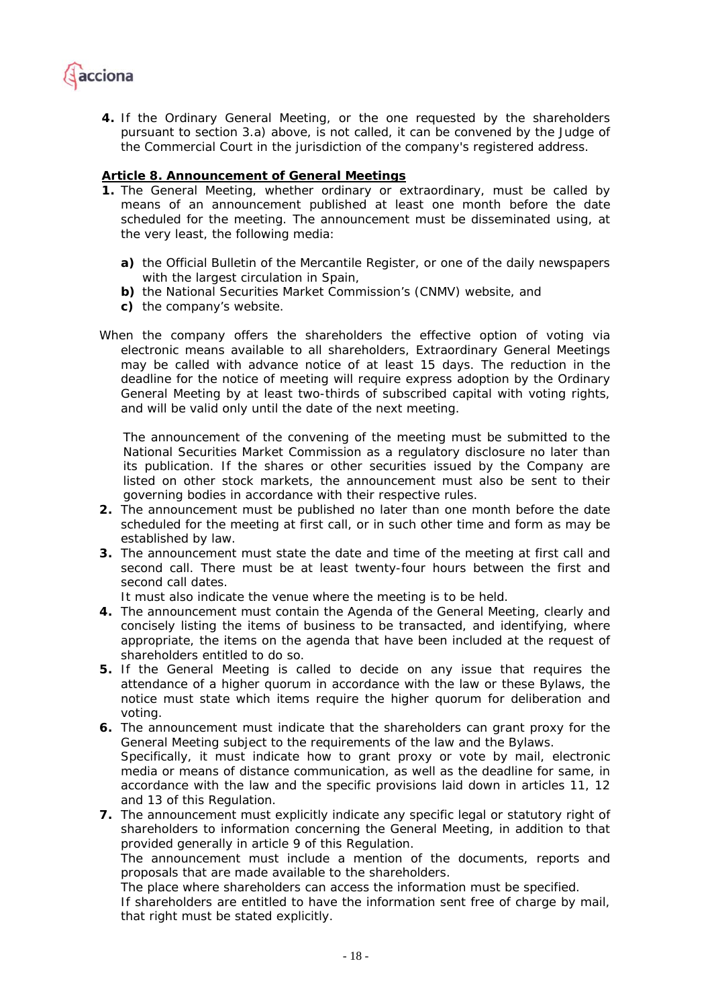

*4. If the Ordinary General Meeting, or the one requested by the shareholders pursuant to section 3.a) above, is not called, it can be convened by the Judge of the Commercial Court in the jurisdiction of the company's registered address.* 

## *Article 8. Announcement of General Meetings*

- *1. The General Meeting, whether ordinary or extraordinary, must be called by means of an announcement published at least one month before the date scheduled for the meeting. The announcement must be disseminated using, at the very least, the following media:* 
	- *a) the Official Bulletin of the Mercantile Register, or one of the daily newspapers with the largest circulation in Spain,*
	- *b) the National Securities Market Commission's (CNMV) website, and*
	- *c) the company's website.*
- *When the company offers the shareholders the effective option of voting via electronic means available to all shareholders, Extraordinary General Meetings may be called with advance notice of at least 15 days. The reduction in the deadline for the notice of meeting will require express adoption by the Ordinary General Meeting by at least two-thirds of subscribed capital with voting rights, and will be valid only until the date of the next meeting.*

*The announcement of the convening of the meeting must be submitted to the National Securities Market Commission as a regulatory disclosure no later than its publication. If the shares or other securities issued by the Company are*  listed on other stock markets, the announcement must also be sent to their *governing bodies in accordance with their respective rules.* 

- *2. The announcement must be published no later than one month before the date scheduled for the meeting at first call, or in such other time and form as may be established by law.*
- *3. The announcement must state the date and time of the meeting at first call and second call. There must be at least twenty-four hours between the first and second call dates.*

*It must also indicate the venue where the meeting is to be held.* 

- *4. The announcement must contain the Agenda of the General Meeting, clearly and concisely listing the items of business to be transacted, and identifying, where appropriate, the items on the agenda that have been included at the request of shareholders entitled to do so.*
- *5. If the General Meeting is called to decide on any issue that requires the attendance of a higher quorum in accordance with the law or these Bylaws, the notice must state which items require the higher quorum for deliberation and voting.*
- *6. The announcement must indicate that the shareholders can grant proxy for the General Meeting subject to the requirements of the law and the Bylaws. Specifically, it must indicate how to grant proxy or vote by mail, electronic media or means of distance communication, as well as the deadline for same, in accordance with the law and the specific provisions laid down in articles 11, 12 and 13 of this Regulation.*
- *7. The announcement must explicitly indicate any specific legal or statutory right of shareholders to information concerning the General Meeting, in addition to that provided generally in article 9 of this Regulation.*

*The announcement must include a mention of the documents, reports and proposals that are made available to the shareholders.* 

*The place where shareholders can access the information must be specified.* 

*If shareholders are entitled to have the information sent free of charge by mail, that right must be stated explicitly.*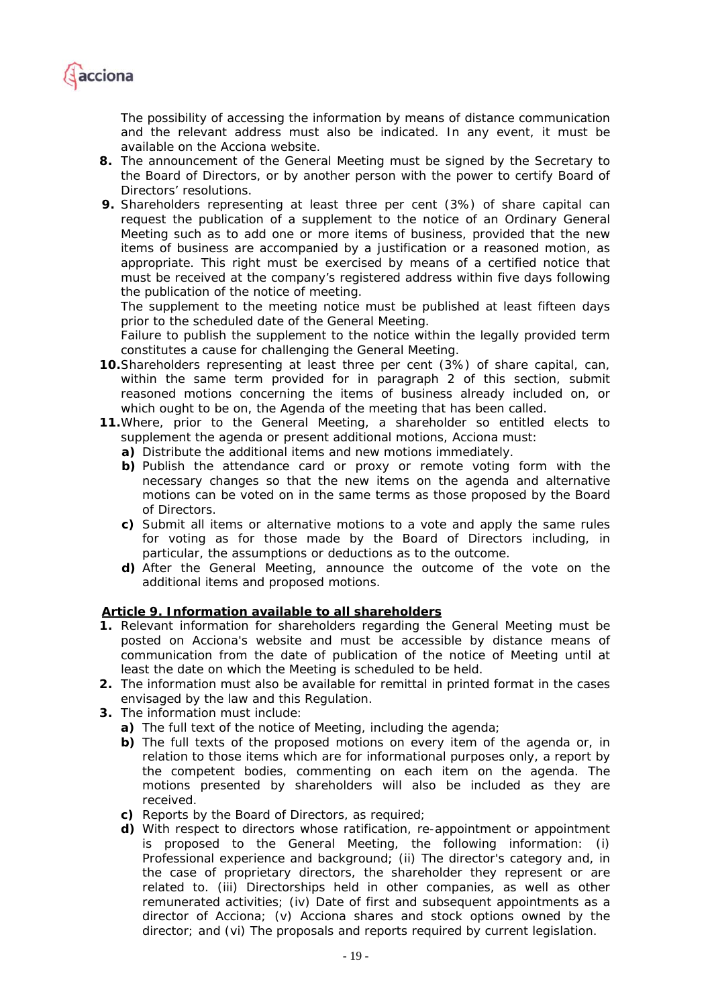

*The possibility of accessing the information by means of distance communication*  and the relevant address must also be indicated. In any event, it must be *available on the Acciona website.* 

- *8. The announcement of the General Meeting must be signed by the Secretary to the Board of Directors, or by another person with the power to certify Board of Directors' resolutions.*
- *9. Shareholders representing at least three per cent (3%) of share capital can*  request the publication of a supplement to the notice of an Ordinary General *Meeting such as to add one or more items of business, provided that the new items of business are accompanied by a justification or a reasoned motion, as*  appropriate. This right must be exercised by means of a certified notice that *must be received at the company's registered address within five days following the publication of the notice of meeting.*

*The supplement to the meeting notice must be published at least fifteen days prior to the scheduled date of the General Meeting.* 

*Failure to publish the supplement to the notice within the legally provided term constitutes a cause for challenging the General Meeting.* 

- *10.Shareholders representing at least three per cent (3%) of share capital, can, within the same term provided for in paragraph 2 of this section, submit reasoned motions concerning the items of business already included on, or which ought to be on, the Agenda of the meeting that has been called.*
- *11.Where, prior to the General Meeting, a shareholder so entitled elects to supplement the agenda or present additional motions, Acciona must:* 
	- *a) Distribute the additional items and new motions immediately.*
	- *b) Publish the attendance card or proxy or remote voting form with the necessary changes so that the new items on the agenda and alternative motions can be voted on in the same terms as those proposed by the Board of Directors.*
	- *c) Submit all items or alternative motions to a vote and apply the same rules for voting as for those made by the Board of Directors including, in particular, the assumptions or deductions as to the outcome.*
	- *d) After the General Meeting, announce the outcome of the vote on the additional items and proposed motions.*

#### *Article 9. Information available to all shareholders*

- *1. Relevant information for shareholders regarding the General Meeting must be posted on Acciona's website and must be accessible by distance means of communication from the date of publication of the notice of Meeting until at least the date on which the Meeting is scheduled to be held.*
- *2. The information must also be available for remittal in printed format in the cases envisaged by the law and this Regulation.*
- *3. The information must include:* 
	- *a) The full text of the notice of Meeting, including the agenda;*
	- *b) The full texts of the proposed motions on every item of the agenda or, in*  relation to those items which are for informational purposes only, a report by *the competent bodies, commenting on each item on the agenda. The motions presented by shareholders will also be included as they are received.*
	- *c) Reports by the Board of Directors, as required;*
	- *d) With respect to directors whose ratification, re-appointment or appointment is proposed to the General Meeting, the following information: (i) Professional experience and background; (ii) The director's category and, in the case of proprietary directors, the shareholder they represent or are*  related to. (iii) Directorships held in other companies, as well as other *remunerated activities; (iv) Date of first and subsequent appointments as a director of Acciona; (v) Acciona shares and stock options owned by the director; and (vi) The proposals and reports required by current legislation.*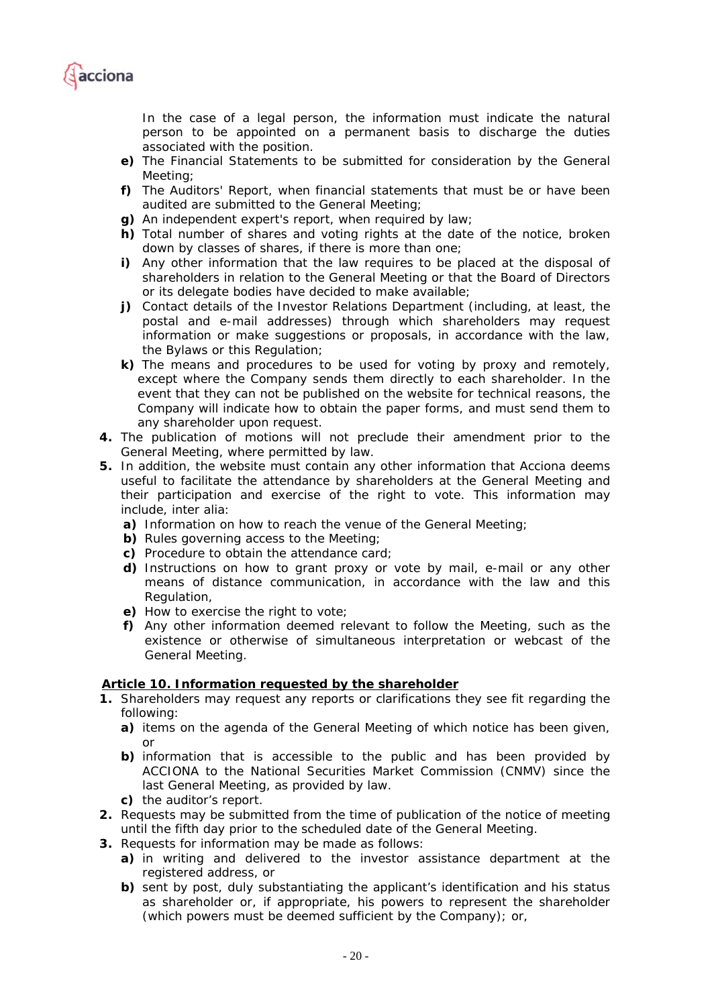

In the case of a legal person, the information must indicate the natural *person to be appointed on a permanent basis to discharge the duties associated with the position.* 

- *e) The Financial Statements to be submitted for consideration by the General Meeting;*
- *f) The Auditors' Report, when financial statements that must be or have been audited are submitted to the General Meeting;*
- *g) An independent expert's report, when required by law;*
- *h) Total number of shares and voting rights at the date of the notice, broken down by classes of shares, if there is more than one;*
- *i*) Any other information that the law requires to be placed at the disposal of *shareholders in relation to the General Meeting or that the Board of Directors or its delegate bodies have decided to make available;*
- *j) Contact details of the Investor Relations Department (including, at least, the postal and e-mail addresses) through which shareholders may request information or make suggestions or proposals, in accordance with the law, the Bylaws or this Regulation;*
- *k) The means and procedures to be used for voting by proxy and remotely, except where the Company sends them directly to each shareholder. In the event that they can not be published on the website for technical reasons, the Company will indicate how to obtain the paper forms, and must send them to any shareholder upon request.*
- *4. The publication of motions will not preclude their amendment prior to the General Meeting, where permitted by law.*
- *5. In addition, the website must contain any other information that Acciona deems useful to facilitate the attendance by shareholders at the General Meeting and their participation and exercise of the right to vote. This information may include, inter alia:* 
	- *a) Information on how to reach the venue of the General Meeting;*
	- *b) Rules governing access to the Meeting;*
	- *c) Procedure to obtain the attendance card;*
	- *d) Instructions on how to grant proxy or vote by mail, e-mail or any other means of distance communication, in accordance with the law and this Regulation,*
	- *e) How to exercise the right to vote;*
	- *f) Any other information deemed relevant to follow the Meeting, such as the existence or otherwise of simultaneous interpretation or webcast of the General Meeting.*

#### *Article 10. Information requested by the shareholder*

- *1. Shareholders may request any reports or clarifications they see fit regarding the following:* 
	- *a) items on the agenda of the General Meeting of which notice has been given, or*
	- *b) information that is accessible to the public and has been provided by ACCIONA to the National Securities Market Commission (CNMV) since the last General Meeting, as provided by law.*
	- *c) the auditor's report.*
- *2. Requests may be submitted from the time of publication of the notice of meeting until the fifth day prior to the scheduled date of the General Meeting.*
- *3. Requests for information may be made as follows:* 
	- *a) in writing and delivered to the investor assistance department at the registered address, or*
	- *b) sent by post, duly substantiating the applicant's identification and his status*  as shareholder or, if appropriate, his powers to represent the shareholder *(which powers must be deemed sufficient by the Company); or,*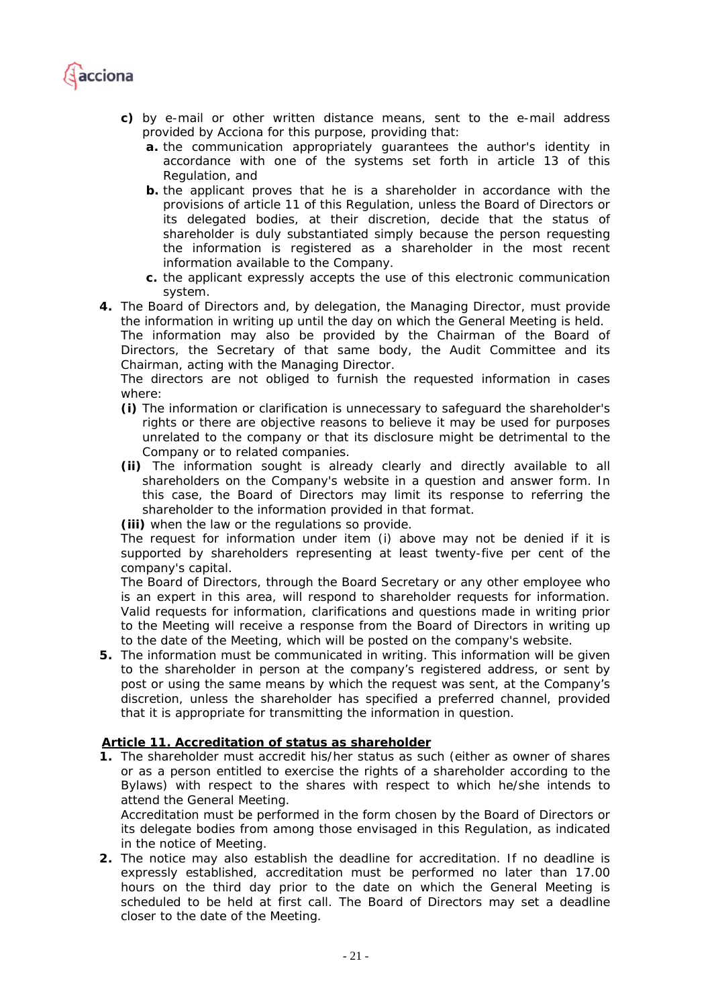

- *c) by e-mail or other written distance means, sent to the e-mail address provided by Acciona for this purpose, providing that:* 
	- *a. the communication appropriately guarantees the author's identity in accordance with one of the systems set forth in article 13 of this Regulation, and*
	- *b. the applicant proves that he is a shareholder in accordance with the provisions of article 11 of this Regulation, unless the Board of Directors or its delegated bodies, at their discretion, decide that the status of shareholder is duly substantiated simply because the person requesting the information is registered as a shareholder in the most recent information available to the Company.*
	- *c. the applicant expressly accepts the use of this electronic communication system.*
- *4. The Board of Directors and, by delegation, the Managing Director, must provide the information in writing up until the day on which the General Meeting is held.*

*The information may also be provided by the Chairman of the Board of Directors, the Secretary of that same body, the Audit Committee and its Chairman, acting with the Managing Director.* 

*The directors are not obliged to furnish the requested information in cases where:* 

- *(i) The information or clarification is unnecessary to safeguard the shareholder's rights or there are objective reasons to believe it may be used for purposes unrelated to the company or that its disclosure might be detrimental to the Company or to related companies.*
- *(ii) The information sought is already clearly and directly available to all shareholders on the Company's website in a question and answer form. In this case, the Board of Directors may limit its response to referring the shareholder to the information provided in that format.*

*(iii) when the law or the regulations so provide.* 

*The request for information under item (i) above may not be denied if it is supported by shareholders representing at least twenty-five per cent of the company's capital.* 

*The Board of Directors, through the Board Secretary or any other employee who is an expert in this area, will respond to shareholder requests for information. Valid requests for information, clarifications and questions made in writing prior to the Meeting will receive a response from the Board of Directors in writing up to the date of the Meeting, which will be posted on the company's website.* 

*5. The information must be communicated in writing. This information will be given to the shareholder in person at the company's registered address, or sent by post or using the same means by which the request was sent, at the Company's discretion, unless the shareholder has specified a preferred channel, provided that it is appropriate for transmitting the information in question.* 

#### *Article 11. Accreditation of status as shareholder*

*1. The shareholder must accredit his/her status as such (either as owner of shares or as a person entitled to exercise the rights of a shareholder according to the Bylaws) with respect to the shares with respect to which he/she intends to attend the General Meeting.* 

*Accreditation must be performed in the form chosen by the Board of Directors or its delegate bodies from among those envisaged in this Regulation, as indicated in the notice of Meeting.* 

*2. The notice may also establish the deadline for accreditation. If no deadline is expressly established, accreditation must be performed no later than 17.00 hours on the third day prior to the date on which the General Meeting is scheduled to be held at first call. The Board of Directors may set a deadline closer to the date of the Meeting.*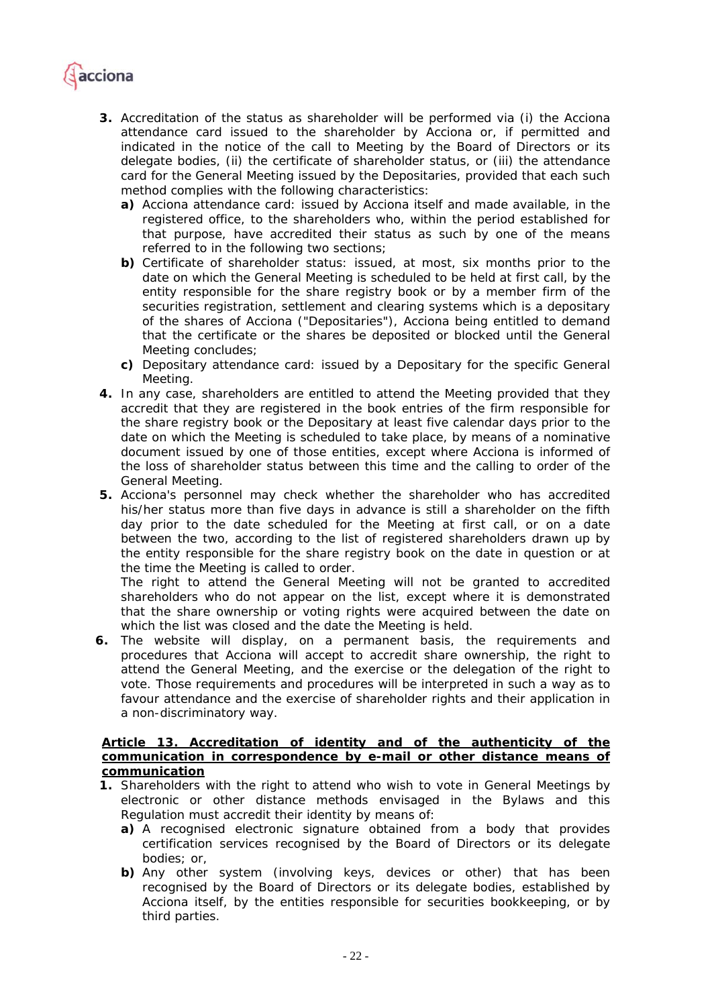

- *3. Accreditation of the status as shareholder will be performed via (i) the Acciona attendance card issued to the shareholder by Acciona or, if permitted and indicated in the notice of the call to Meeting by the Board of Directors or its delegate bodies, (ii) the certificate of shareholder status, or (iii) the attendance card for the General Meeting issued by the Depositaries, provided that each such method complies with the following characteristics:* 
	- *a) Acciona attendance card: issued by Acciona itself and made available, in the registered office, to the shareholders who, within the period established for that purpose, have accredited their status as such by one of the means referred to in the following two sections;*
	- *b) Certificate of shareholder status: issued, at most, six months prior to the date on which the General Meeting is scheduled to be held at first call, by the entity responsible for the share registry book or by a member firm of the securities registration, settlement and clearing systems which is a depositary of the shares of Acciona ("Depositaries"), Acciona being entitled to demand that the certificate or the shares be deposited or blocked until the General Meeting concludes;*
	- *c) Depositary attendance card: issued by a Depositary for the specific General Meeting.*
- *4. In any case, shareholders are entitled to attend the Meeting provided that they accredit that they are registered in the book entries of the firm responsible for the share registry book or the Depositary at least five calendar days prior to the*  date on which the Meeting is scheduled to take place, by means of a nominative *document issued by one of those entities, except where Acciona is informed of the loss of shareholder status between this time and the calling to order of the General Meeting.*
- *5. Acciona's personnel may check whether the shareholder who has accredited his/her status more than five days in advance is still a shareholder on the fifth day prior to the date scheduled for the Meeting at first call, or on a date between the two, according to the list of registered shareholders drawn up by the entity responsible for the share registry book on the date in question or at the time the Meeting is called to order.*

*The right to attend the General Meeting will not be granted to accredited shareholders who do not appear on the list, except where it is demonstrated that the share ownership or voting rights were acquired between the date on which the list was closed and the date the Meeting is held.* 

*6. The website will display, on a permanent basis, the requirements and procedures that Acciona will accept to accredit share ownership, the right to attend the General Meeting, and the exercise or the delegation of the right to vote. Those requirements and procedures will be interpreted in such a way as to*  favour attendance and the exercise of shareholder rights and their application in *a non-discriminatory way.* 

## *Article 13. Accreditation of identity and of the authenticity of the communication in correspondence by e-mail or other distance means of communication*

- *1. Shareholders with the right to attend who wish to vote in General Meetings by electronic or other distance methods envisaged in the Bylaws and this Regulation must accredit their identity by means of:* 
	- *a) A recognised electronic signature obtained from a body that provides certification services recognised by the Board of Directors or its delegate bodies; or,*
	- *b) Any other system (involving keys, devices or other) that has been recognised by the Board of Directors or its delegate bodies, established by Acciona itself, by the entities responsible for securities bookkeeping, or by third parties.*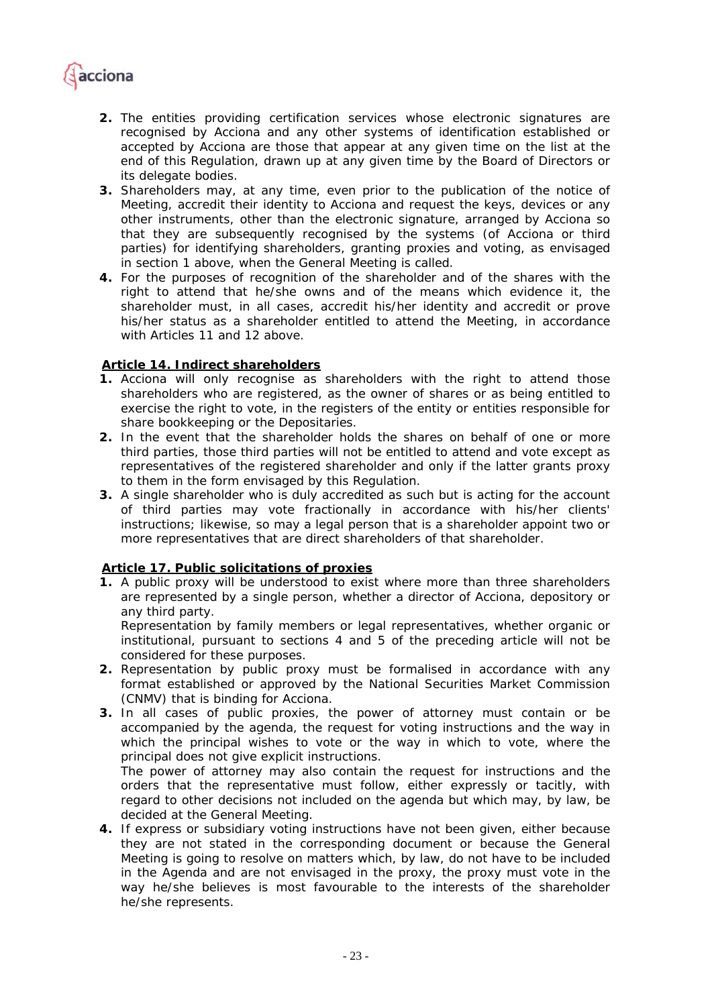

- *2. The entities providing certification services whose electronic signatures are recognised by Acciona and any other systems of identification established or accepted by Acciona are those that appear at any given time on the list at the end of this Regulation, drawn up at any given time by the Board of Directors or its delegate bodies.*
- *3. Shareholders may, at any time, even prior to the publication of the notice of Meeting, accredit their identity to Acciona and request the keys, devices or any other instruments, other than the electronic signature, arranged by Acciona so that they are subsequently recognised by the systems (of Acciona or third parties) for identifying shareholders, granting proxies and voting, as envisaged in section 1 above, when the General Meeting is called.*
- *4. For the purposes of recognition of the shareholder and of the shares with the*  right to attend that he/she owns and of the means which evidence it, the *shareholder must, in all cases, accredit his/her identity and accredit or prove his/her status as a shareholder entitled to attend the Meeting, in accordance with Articles 11 and 12 above.*

#### *Article 14. Indirect shareholders*

- *1. Acciona will only recognise as shareholders with the right to attend those shareholders who are registered, as the owner of shares or as being entitled to exercise the right to vote, in the registers of the entity or entities responsible for share bookkeeping or the Depositaries.*
- *2. In the event that the shareholder holds the shares on behalf of one or more third parties, those third parties will not be entitled to attend and vote except as representatives of the registered shareholder and only if the latter grants proxy to them in the form envisaged by this Regulation.*
- *3. A single shareholder who is duly accredited as such but is acting for the account of third parties may vote fractionally in accordance with his/her clients' instructions; likewise, so may a legal person that is a shareholder appoint two or more representatives that are direct shareholders of that shareholder.*

## *Article 17. Public solicitations of proxies*

*1. A public proxy will be understood to exist where more than three shareholders are represented by a single person, whether a director of Acciona, depository or any third party.* 

*Representation by family members or legal representatives, whether organic or institutional, pursuant to sections 4 and 5 of the preceding article will not be considered for these purposes.* 

- *2. Representation by public proxy must be formalised in accordance with any format established or approved by the National Securities Market Commission (CNMV) that is binding for Acciona.*
- *3. In all cases of public proxies, the power of attorney must contain or be accompanied by the agenda, the request for voting instructions and the way in*  which the principal wishes to vote or the way in which to vote, where the *principal does not give explicit instructions.*

*The power of attorney may also contain the request for instructions and the orders that the representative must follow, either expressly or tacitly, with regard to other decisions not included on the agenda but which may, by law, be decided at the General Meeting.* 

*4. If express or subsidiary voting instructions have not been given, either because they are not stated in the corresponding document or because the General Meeting is going to resolve on matters which, by law, do not have to be included in the Agenda and are not envisaged in the proxy, the proxy must vote in the way he/she believes is most favourable to the interests of the shareholder he/she represents.*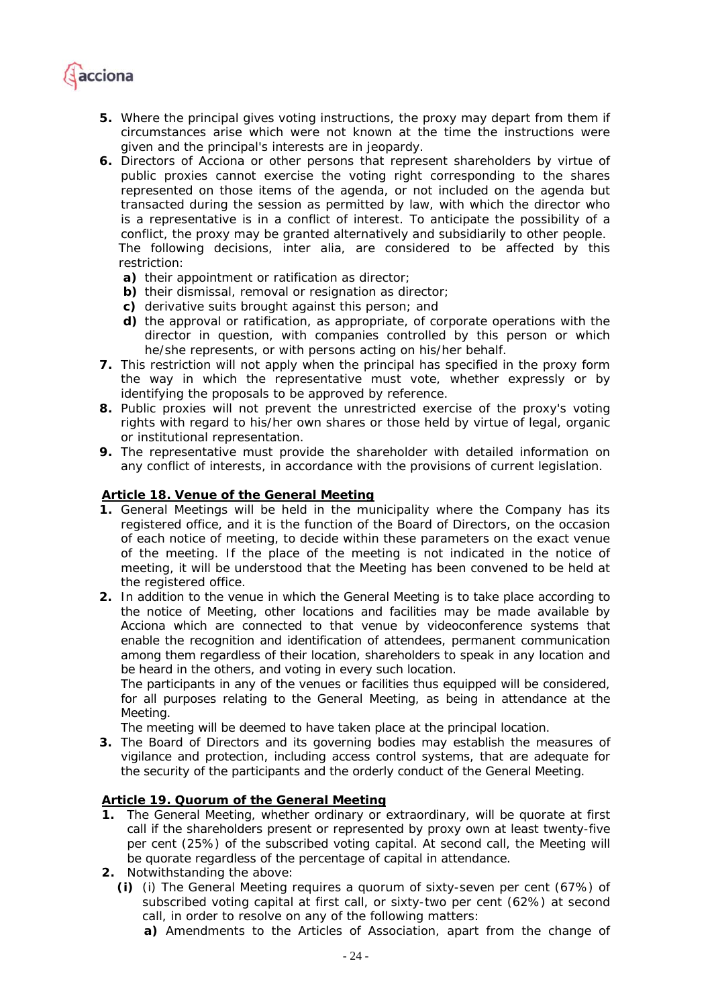

- *5. Where the principal gives voting instructions, the proxy may depart from them if circumstances arise which were not known at the time the instructions were given and the principal's interests are in jeopardy.*
- *6. Directors of Acciona or other persons that represent shareholders by virtue of public proxies cannot exercise the voting right corresponding to the shares represented on those items of the agenda, or not included on the agenda but transacted during the session as permitted by law, with which the director who is a representative is in a conflict of interest. To anticipate the possibility of a conflict, the proxy may be granted alternatively and subsidiarily to other people. The following decisions, inter alia, are considered to be affected by this restriction:* 
	- *a) their appointment or ratification as director;*
	- *b) their dismissal, removal or resignation as director;*
	- *c) derivative suits brought against this person; and*
	- *d) the approval or ratification, as appropriate, of corporate operations with the director in question, with companies controlled by this person or which he/she represents, or with persons acting on his/her behalf.*
- *7. This restriction will not apply when the principal has specified in the proxy form the way in which the representative must vote, whether expressly or by identifying the proposals to be approved by reference.*
- *8. Public proxies will not prevent the unrestricted exercise of the proxy's voting rights with regard to his/her own shares or those held by virtue of legal, organic or institutional representation.*
- *9. The representative must provide the shareholder with detailed information on any conflict of interests, in accordance with the provisions of current legislation.*

## *Article 18. Venue of the General Meeting*

- *1. General Meetings will be held in the municipality where the Company has its registered office, and it is the function of the Board of Directors, on the occasion of each notice of meeting, to decide within these parameters on the exact venue of the meeting. If the place of the meeting is not indicated in the notice of meeting, it will be understood that the Meeting has been convened to be held at the registered office.*
- *2. In addition to the venue in which the General Meeting is to take place according to the notice of Meeting, other locations and facilities may be made available by Acciona which are connected to that venue by videoconference systems that enable the recognition and identification of attendees, permanent communication among them regardless of their location, shareholders to speak in any location and be heard in the others, and voting in every such location.*

*The participants in any of the venues or facilities thus equipped will be considered,*  for all purposes relating to the General Meeting, as being in attendance at the *Meeting.* 

*The meeting will be deemed to have taken place at the principal location.* 

*3. The Board of Directors and its governing bodies may establish the measures of vigilance and protection, including access control systems, that are adequate for the security of the participants and the orderly conduct of the General Meeting.* 

## *Article 19. Quorum of the General Meeting*

- **1.** *The General Meeting, whether ordinary or extraordinary, will be quorate at first call if the shareholders present or represented by proxy own at least twenty-five per cent (25%) of the subscribed voting capital. At second call, the Meeting will be quorate regardless of the percentage of capital in attendance.*
- **2.** *Notwithstanding the above:* 
	- *(i) (i) The General Meeting requires a quorum of sixty-seven per cent (67%) of subscribed voting capital at first call, or sixty-two per cent (62%) at second call, in order to resolve on any of the following matters:*

*a) Amendments to the Articles of Association, apart from the change of*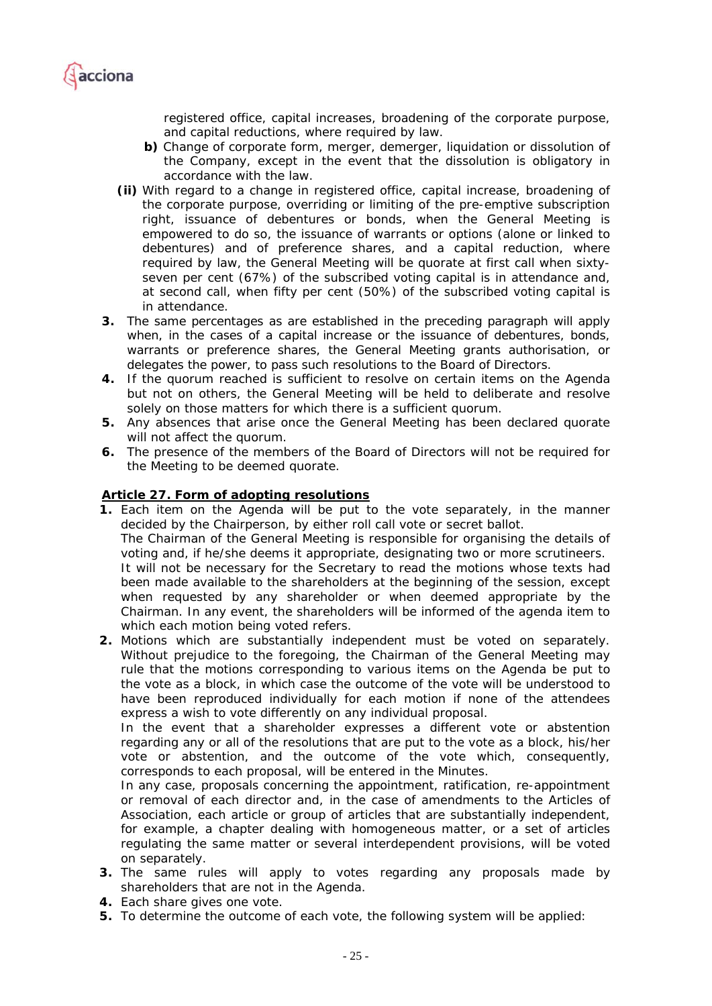

*registered office, capital increases, broadening of the corporate purpose, and capital reductions, where required by law.* 

- *b) Change of corporate form, merger, demerger, liquidation or dissolution of the Company, except in the event that the dissolution is obligatory in accordance with the law.*
- *(ii) With regard to a change in registered office, capital increase, broadening of the corporate purpose, overriding or limiting of the pre-emptive subscription right, issuance of debentures or bonds, when the General Meeting is empowered to do so, the issuance of warrants or options (alone or linked to debentures) and of preference shares, and a capital reduction, where required by law, the General Meeting will be quorate at first call when sixtyseven per cent (67%) of the subscribed voting capital is in attendance and, at second call, when fifty per cent (50%) of the subscribed voting capital is in attendance.*
- **3.** *The same percentages as are established in the preceding paragraph will apply when, in the cases of a capital increase or the issuance of debentures, bonds, warrants or preference shares, the General Meeting grants authorisation, or delegates the power, to pass such resolutions to the Board of Directors.*
- **4.** *If the quorum reached is sufficient to resolve on certain items on the Agenda but not on others, the General Meeting will be held to deliberate and resolve solely on those matters for which there is a sufficient quorum.*
- **5.** *Any absences that arise once the General Meeting has been declared quorate will not affect the quorum.*
- **6.** *The presence of the members of the Board of Directors will not be required for the Meeting to be deemed quorate.*

## *Article 27. Form of adopting resolutions*

- **1.** Each item on the Agenda will be put to the vote separately, in the manner *decided by the Chairperson, by either roll call vote or secret ballot. The Chairman of the General Meeting is responsible for organising the details of voting and, if he/she deems it appropriate, designating two or more scrutineers. It will not be necessary for the Secretary to read the motions whose texts had been made available to the shareholders at the beginning of the session, except when requested by any shareholder or when deemed appropriate by the Chairman. In any event, the shareholders will be informed of the agenda item to which each motion being voted refers.*
- *2. Motions which are substantially independent must be voted on separately. Without prejudice to the foregoing, the Chairman of the General Meeting may rule that the motions corresponding to various items on the Agenda be put to the vote as a block, in which case the outcome of the vote will be understood to have been reproduced individually for each motion if none of the attendees express a wish to vote differently on any individual proposal.*

In the event that a shareholder expresses a different vote or abstention *regarding any or all of the resolutions that are put to the vote as a block, his/her vote or abstention, and the outcome of the vote which, consequently, corresponds to each proposal, will be entered in the Minutes.* 

*In any case, proposals concerning the appointment, ratification, re-appointment or removal of each director and, in the case of amendments to the Articles of Association, each article or group of articles that are substantially independent, for example, a chapter dealing with homogeneous matter, or a set of articles regulating the same matter or several interdependent provisions, will be voted on separately.* 

- *3. The same rules will apply to votes regarding any proposals made by shareholders that are not in the Agenda.*
- *4. Each share gives one vote.*
- *5. To determine the outcome of each vote, the following system will be applied:*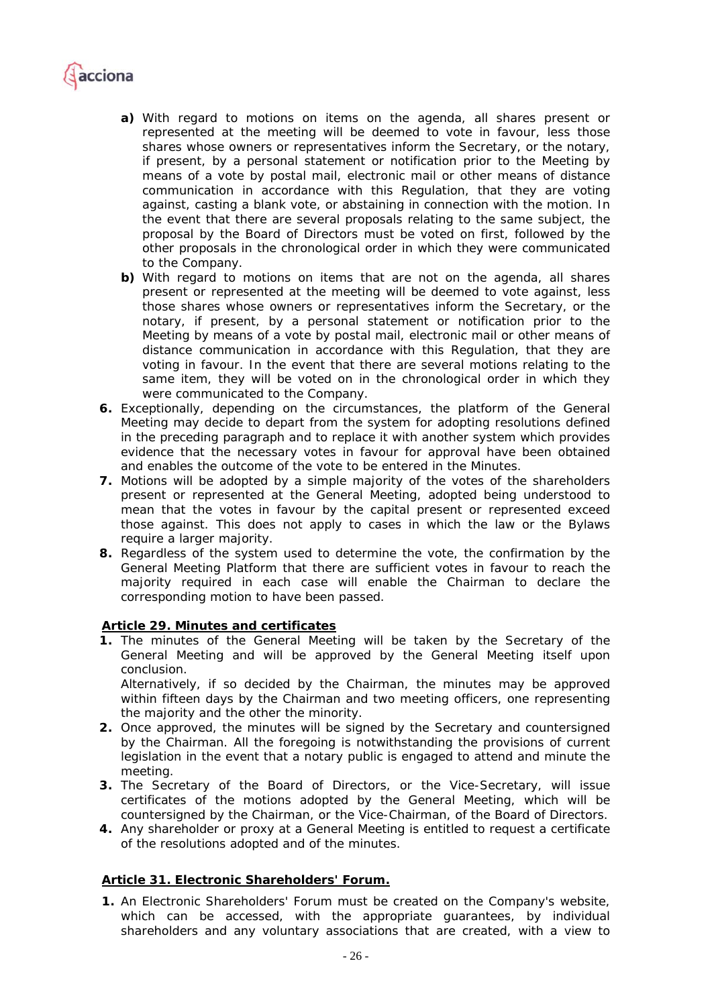

- *a) With regard to motions on items on the agenda, all shares present or represented at the meeting will be deemed to vote in favour, less those shares whose owners or representatives inform the Secretary, or the notary, if present, by a personal statement or notification prior to the Meeting by means of a vote by postal mail, electronic mail or other means of distance communication in accordance with this Regulation, that they are voting against, casting a blank vote, or abstaining in connection with the motion. In the event that there are several proposals relating to the same subject, the proposal by the Board of Directors must be voted on first, followed by the other proposals in the chronological order in which they were communicated to the Company.*
- *b) With regard to motions on items that are not on the agenda, all shares present or represented at the meeting will be deemed to vote against, less those shares whose owners or representatives inform the Secretary, or the notary, if present, by a personal statement or notification prior to the Meeting by means of a vote by postal mail, electronic mail or other means of distance communication in accordance with this Regulation, that they are voting in favour. In the event that there are several motions relating to the same item, they will be voted on in the chronological order in which they were communicated to the Company.*
- *6. Exceptionally, depending on the circumstances, the platform of the General Meeting may decide to depart from the system for adopting resolutions defined in the preceding paragraph and to replace it with another system which provides evidence that the necessary votes in favour for approval have been obtained and enables the outcome of the vote to be entered in the Minutes.*
- *7. Motions will be adopted by a simple majority of the votes of the shareholders present or represented at the General Meeting, adopted being understood to mean that the votes in favour by the capital present or represented exceed those against. This does not apply to cases in which the law or the Bylaws require a larger majority.*
- *8. Regardless of the system used to determine the vote, the confirmation by the General Meeting Platform that there are sufficient votes in favour to reach the majority required in each case will enable the Chairman to declare the corresponding motion to have been passed.*

#### *Article 29. Minutes and certificates*

*1. The minutes of the General Meeting will be taken by the Secretary of the General Meeting and will be approved by the General Meeting itself upon conclusion.* 

*Alternatively, if so decided by the Chairman, the minutes may be approved within fifteen days by the Chairman and two meeting officers, one representing the majority and the other the minority.* 

- *2. Once approved, the minutes will be signed by the Secretary and countersigned*  by the Chairman. All the foregoing is notwithstanding the provisions of current *legislation in the event that a notary public is engaged to attend and minute the meeting.*
- *3. The Secretary of the Board of Directors, or the Vice-Secretary, will issue certificates of the motions adopted by the General Meeting, which will be countersigned by the Chairman, or the Vice-Chairman, of the Board of Directors.*
- *4. Any shareholder or proxy at a General Meeting is entitled to request a certificate of the resolutions adopted and of the minutes.*

#### *Article 31. Electronic Shareholders' Forum.*

**1.** *An Electronic Shareholders' Forum must be created on the Company's website, which can be accessed, with the appropriate guarantees, by individual shareholders and any voluntary associations that are created, with a view to*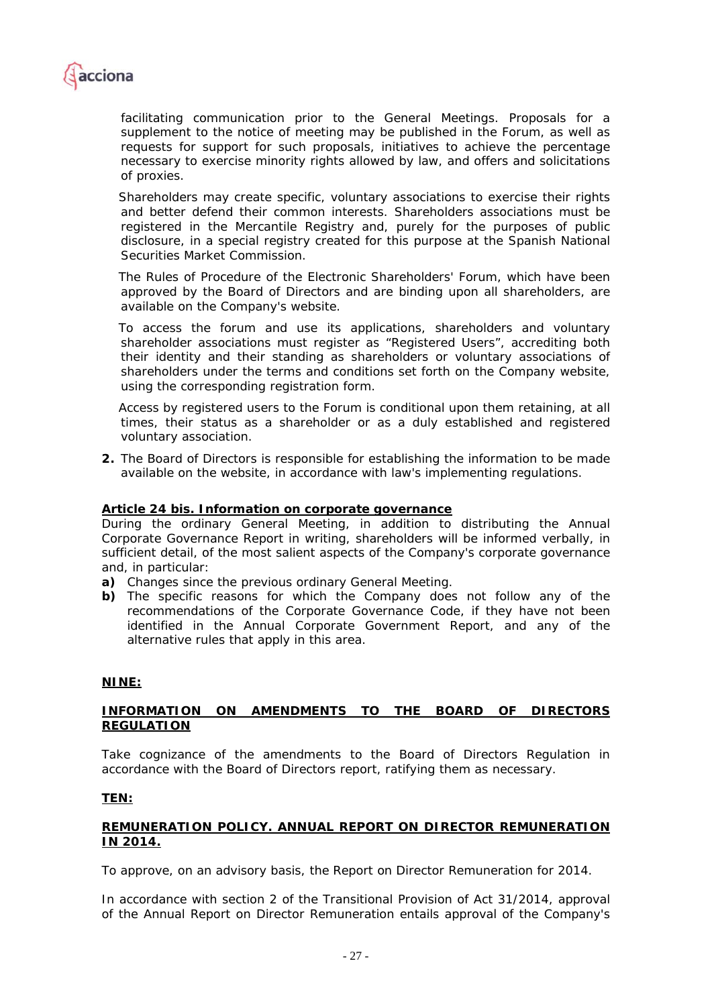

*facilitating communication prior to the General Meetings. Proposals for a supplement to the notice of meeting may be published in the Forum, as well as requests for support for such proposals, initiatives to achieve the percentage necessary to exercise minority rights allowed by law, and offers and solicitations of proxies.* 

*Shareholders may create specific, voluntary associations to exercise their rights and better defend their common interests. Shareholders associations must be registered in the Mercantile Registry and, purely for the purposes of public disclosure, in a special registry created for this purpose at the Spanish National Securities Market Commission.* 

*The Rules of Procedure of the Electronic Shareholders' Forum, which have been approved by the Board of Directors and are binding upon all shareholders, are available on the Company's website.* 

*To access the forum and use its applications, shareholders and voluntary shareholder associations must register as "Registered Users", accrediting both their identity and their standing as shareholders or voluntary associations of shareholders under the terms and conditions set forth on the Company website, using the corresponding registration form.* 

*Access by registered users to the Forum is conditional upon them retaining, at all times, their status as a shareholder or as a duly established and registered voluntary association.* 

**2.** *The Board of Directors is responsible for establishing the information to be made available on the website, in accordance with law's implementing regulations.* 

### *Article 24 bis. Information on corporate governance*

*During the ordinary General Meeting, in addition to distributing the Annual Corporate Governance Report in writing, shareholders will be informed verbally, in sufficient detail, of the most salient aspects of the Company's corporate governance and, in particular:* 

*a) Changes since the previous ordinary General Meeting.* 

*b) The specific reasons for which the Company does not follow any of the recommendations of the Corporate Governance Code, if they have not been identified in the Annual Corporate Government Report, and any of the alternative rules that apply in this area.* 

#### **NINE:**

#### **INFORMATION ON AMENDMENTS TO THE BOARD OF DIRECTORS REGULATION**

Take cognizance of the amendments to the Board of Directors Regulation in accordance with the Board of Directors report, ratifying them as necessary.

#### **TEN:**

#### **REMUNERATION POLICY. ANNUAL REPORT ON DIRECTOR REMUNERATION IN 2014.**

To approve, on an advisory basis, the Report on Director Remuneration for 2014.

In accordance with section 2 of the Transitional Provision of Act 31/2014, approval of the Annual Report on Director Remuneration entails approval of the Company's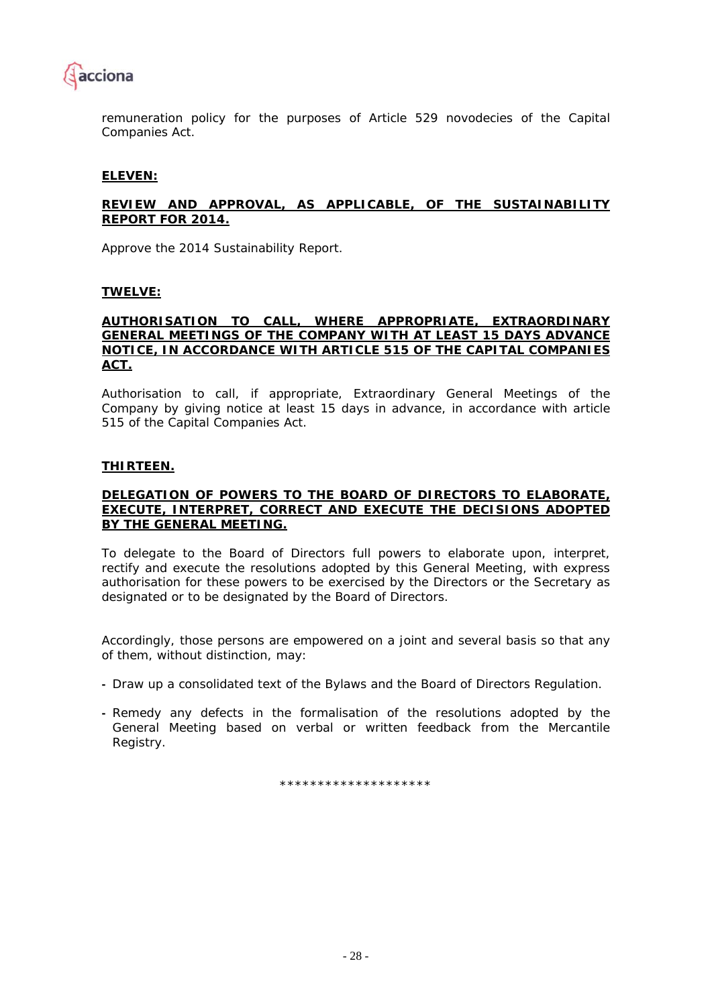

remuneration policy for the purposes of Article 529 *novodecies* of the Capital Companies Act.

#### **ELEVEN:**

#### **REVIEW AND APPROVAL, AS APPLICABLE, OF THE SUSTAINABILITY REPORT FOR 2014.**

Approve the 2014 Sustainability Report.

#### **TWELVE:**

#### **AUTHORISATION TO CALL, WHERE APPROPRIATE, EXTRAORDINARY GENERAL MEETINGS OF THE COMPANY WITH AT LEAST 15 DAYS ADVANCE NOTICE, IN ACCORDANCE WITH ARTICLE 515 OF THE CAPITAL COMPANIES ACT.**

Authorisation to call, if appropriate, Extraordinary General Meetings of the Company by giving notice at least 15 days in advance, in accordance with article 515 of the Capital Companies Act.

#### **THIRTEEN.**

#### **DELEGATION OF POWERS TO THE BOARD OF DIRECTORS TO ELABORATE, EXECUTE, INTERPRET, CORRECT AND EXECUTE THE DECISIONS ADOPTED BY THE GENERAL MEETING.**

To delegate to the Board of Directors full powers to elaborate upon, interpret, rectify and execute the resolutions adopted by this General Meeting, with express authorisation for these powers to be exercised by the Directors or the Secretary as designated or to be designated by the Board of Directors.

Accordingly, those persons are empowered on a joint and several basis so that any of them, without distinction, may:

- **-** Draw up a consolidated text of the Bylaws and the Board of Directors Regulation.
- **-** Remedy any defects in the formalisation of the resolutions adopted by the General Meeting based on verbal or written feedback from the Mercantile Registry.

\*\*\*\*\*\*\*\*\*\*\*\*\*\*\*\*\*